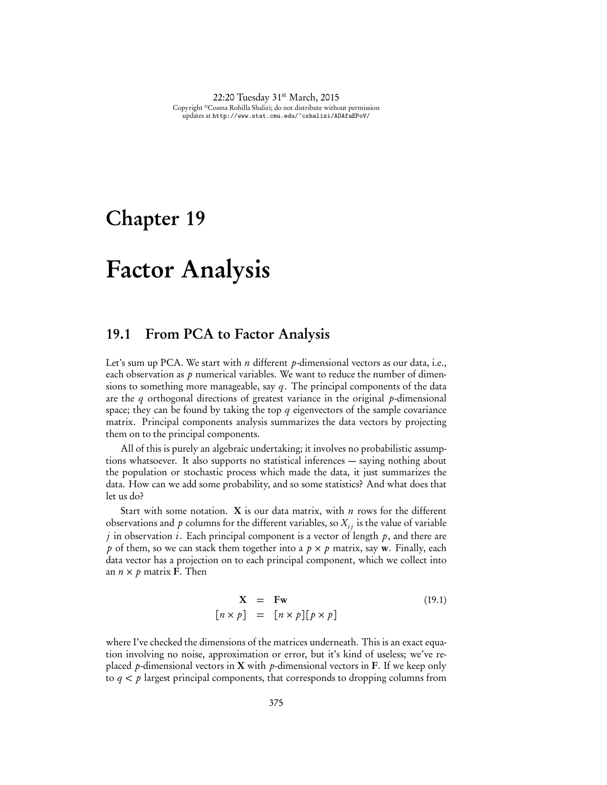22:20 Tuesday 31<sup>st</sup> March, 2015 Copyright ©Cosma Rohilla Shalizi; do not distribute without permission updates at http://www.stat.cmu.edu/~cshalizi/ADAfaEPoV/

## Chapter 19

# Factor Analysis

## 19.1 From PCA to Factor Analysis

Let's sum up PCA. We start with *n* different *p*-dimensional vectors as our data, i.e., each observation as *p* numerical variables. We want to reduce the number of dimensions to something more manageable, say *q*. The principal components of the data are the *q* orthogonal directions of greatest variance in the original *p*-dimensional space; they can be found by taking the top *q* eigenvectors of the sample covariance matrix. Principal components analysis summarizes the data vectors by projecting them on to the principal components.

All of this is purely an algebraic undertaking; it involves no probabilistic assumptions whatsoever. It also supports no statistical inferences — saying nothing about the population or stochastic process which made the data, it just summarizes the data. How can we add some probability, and so some statistics? And what does that let us do?

Start with some notation. X is our data matrix, with *n* rows for the different observations and  $p$  columns for the different variables, so  $X_{ij}$  is the value of variable *j* in observation *i*. Each principal component is a vector of length *p*, and there are *p* of them, so we can stack them together into a  $p \times p$  matrix, say w. Finally, each data vector has a projection on to each principal component, which we collect into an  $n \times p$  matrix **F**. Then

$$
\mathbf{X} = \mathbf{F}\mathbf{w} \tag{19.1}
$$
\n
$$
[n \times p] = [n \times p][p \times p]
$$

where I've checked the dimensions of the matrices underneath. This is an exact equation involving no noise, approximation or error, but it's kind of useless; we've replaced *p*-dimensional vectors in X with *p*-dimensional vectors in F. If we keep only to  $q < p$  largest principal components, that corresponds to dropping columns from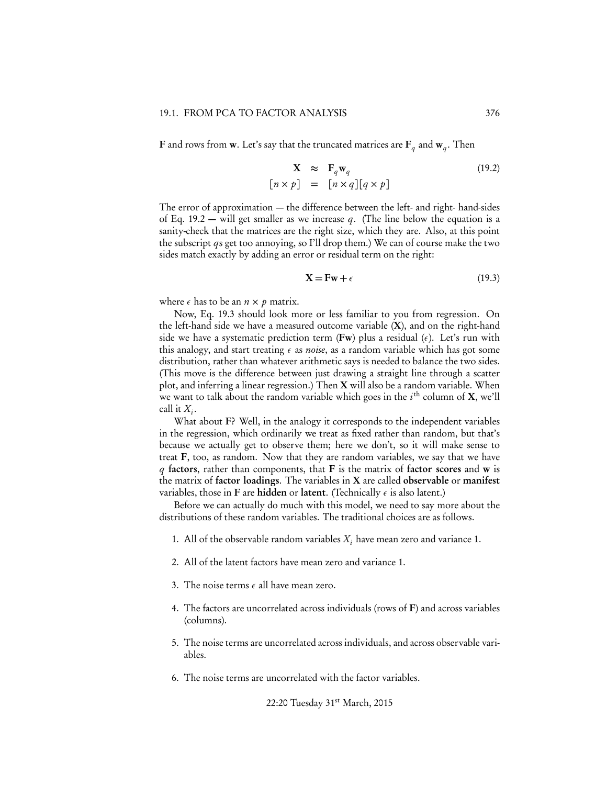**F** and rows from **w**. Let's say that the truncated matrices are  $\mathbf{F}_q$  and  $\mathbf{w}_q$ . Then

$$
\mathbf{X} \approx \mathbf{F}_q \mathbf{w}_q
$$
  
\n
$$
[n \times p] = [n \times q][q \times p]
$$
 (19.2)

The error of approximation — the difference between the left- and right- hand-sides of Eq. 19.2 — will get smaller as we increase *q*. (The line below the equation is a sanity-check that the matrices are the right size, which they are. Also, at this point the subscript *q*s get too annoying, so I'll drop them.) We can of course make the two sides match exactly by adding an error or residual term on the right:

$$
\mathbf{X} = \mathbf{F}\mathbf{w} + \epsilon \tag{19.3}
$$

where  $\epsilon$  has to be an  $n \times p$  matrix.

Now, Eq. 19.3 should look more or less familiar to you from regression. On the left-hand side we have a measured outcome variable (X), and on the right-hand side we have a systematic prediction term (Fw) plus a residual  $(\epsilon)$ . Let's run with this analogy, and start treating  $\epsilon$  as *noise*, as a random variable which has got some distribution, rather than whatever arithmetic says is needed to balance the two sides. (This move is the difference between just drawing a straight line through a scatter plot, and inferring a linear regression.) Then  $X$  will also be a random variable. When we want to talk about the random variable which goes in the *i*th column of X, we'll call it  $X_i$ .

What about F? Well, in the analogy it corresponds to the independent variables in the regression, which ordinarily we treat as fixed rather than random, but that's because we actually get to observe them; here we don't, so it will make sense to treat F, too, as random. Now that they are random variables, we say that we have *q* factors, rather than components, that F is the matrix of factor scores and w is the matrix of factor loadings. The variables in X are called observable or manifest variables, those in F are hidden or latent. (Technically  $\epsilon$  is also latent.)

Before we can actually do much with this model, we need to say more about the distributions of these random variables. The traditional choices are as follows.

- 1. All of the observable random variables  $X_i$  have mean zero and variance 1.
- 2. All of the latent factors have mean zero and variance 1.
- 3. The noise terms  $\epsilon$  all have mean zero.
- 4. The factors are uncorrelated across individuals (rows of F) and across variables (columns).
- 5. The noise terms are uncorrelated across individuals, and across observable variables.
- 6. The noise terms are uncorrelated with the factor variables.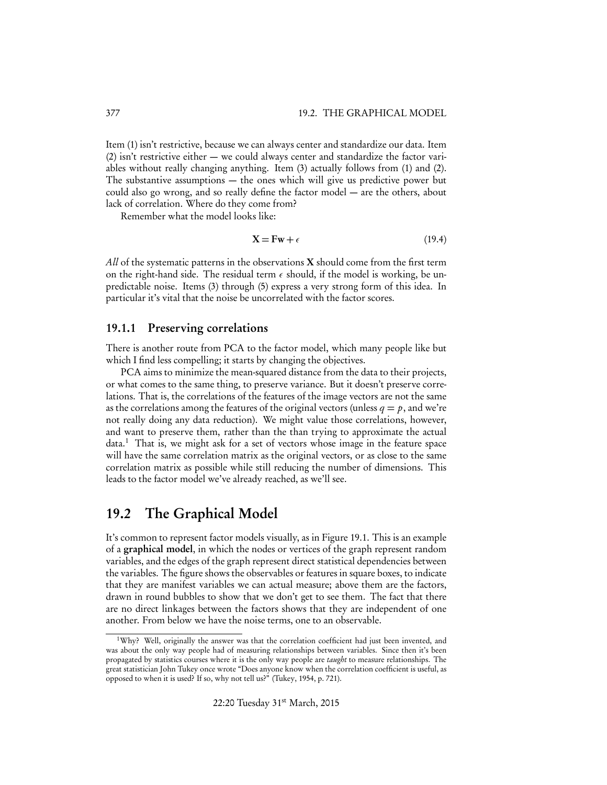Item (1) isn't restrictive, because we can always center and standardize our data. Item (2) isn't restrictive either — we could always center and standardize the factor variables without really changing anything. Item (3) actually follows from (1) and (2). The substantive assumptions — the ones which will give us predictive power but could also go wrong, and so really define the factor model — are the others, about lack of correlation. Where do they come from?

Remember what the model looks like:

$$
X = Fw + \epsilon \tag{19.4}
$$

*All* of the systematic patterns in the observations X should come from the first term on the right-hand side. The residual term  $\epsilon$  should, if the model is working, be unpredictable noise. Items (3) through (5) express a very strong form of this idea. In particular it's vital that the noise be uncorrelated with the factor scores.

## 19.1.1 Preserving correlations

There is another route from PCA to the factor model, which many people like but which I find less compelling; it starts by changing the objectives.

PCA aims to minimize the mean-squared distance from the data to their projects, or what comes to the same thing, to preserve variance. But it doesn't preserve correlations. That is, the correlations of the features of the image vectors are not the same as the correlations among the features of the original vectors (unless  $q = p$ , and we're not really doing any data reduction). We might value those correlations, however, and want to preserve them, rather than the than trying to approximate the actual data.<sup>1</sup> That is, we might ask for a set of vectors whose image in the feature space will have the same correlation matrix as the original vectors, or as close to the same correlation matrix as possible while still reducing the number of dimensions. This leads to the factor model we've already reached, as we'll see.

## 19.2 The Graphical Model

It's common to represent factor models visually, as in Figure 19.1. This is an example of a graphical model, in which the nodes or vertices of the graph represent random variables, and the edges of the graph represent direct statistical dependencies between the variables. The figure shows the observables or features in square boxes, to indicate that they are manifest variables we can actual measure; above them are the factors, drawn in round bubbles to show that we don't get to see them. The fact that there are no direct linkages between the factors shows that they are independent of one another. From below we have the noise terms, one to an observable.

 $1\text{Why?}$  Well, originally the answer was that the correlation coefficient had just been invented, and was about the only way people had of measuring relationships between variables. Since then it's been propagated by statistics courses where it is the only way people are *taught* to measure relationships. The great statistician John Tukey once wrote "Does anyone know when the correlation coefficient is useful, as opposed to when it is used? If so, why not tell us?" (Tukey, 1954, p. 721).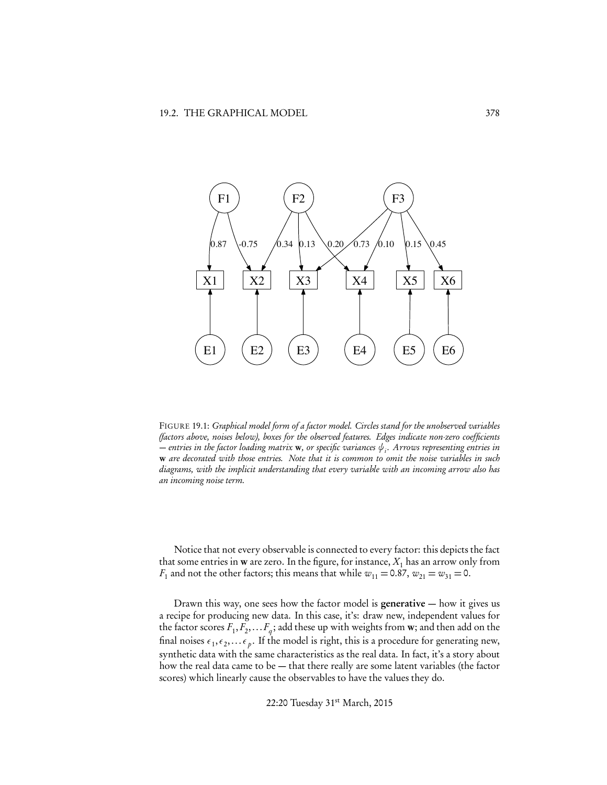

FIGURE 19.1: *Graphical model form of a factor model. Circles stand for the unobserved variables (factors above, noises below), boxes for the observed features. Edges indicate non-zero coefficients*  $-$  entries in the factor loading matrix **w**, or specific variances  $\psi$ <sub>i</sub>. Arrows representing entries in w *are decorated with those entries. Note that it is common to omit the noise variables in such diagrams, with the implicit understanding that every variable with an incoming arrow also has an incoming noise term.*

Notice that not every observable is connected to every factor: this depicts the fact that some entries in **w** are zero. In the figure, for instance,  $X_1$  has an arrow only from  $F_1$  and not the other factors; this means that while  $w_{11} = 0.87$ ,  $w_{21} = w_{31} = 0$ .

Drawn this way, one sees how the factor model is generative  $-$  how it gives us a recipe for producing new data. In this case, it's: draw new, independent values for the factor scores  $F_1, F_2, \ldots, F_q$ ; add these up with weights from **w**; and then add on the final noises  $\epsilon_1, \epsilon_2,... \epsilon_p$ . If the model is right, this is a procedure for generating new, synthetic data with the same characteristics as the real data. In fact, it's a story about how the real data came to be — that there really are some latent variables (the factor scores) which linearly cause the observables to have the values they do.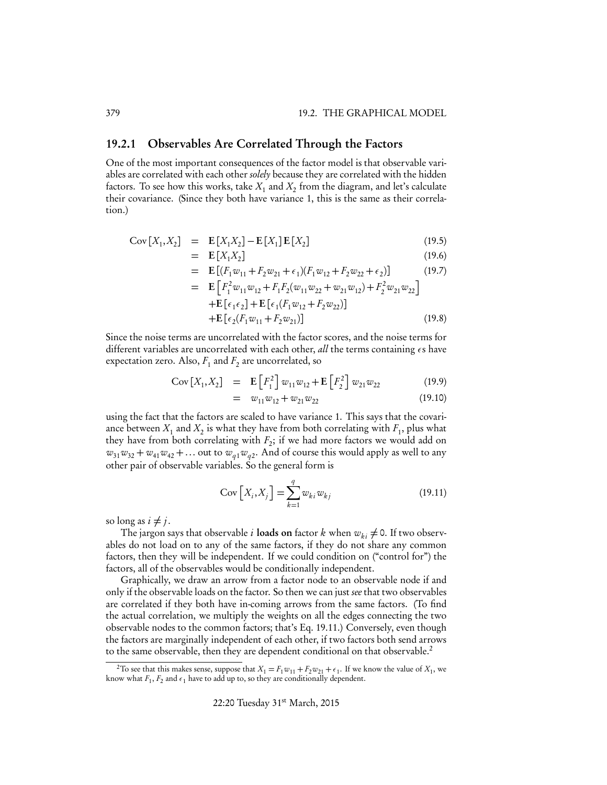## 19.2.1 Observables Are Correlated Through the Factors

One of the most important consequences of the factor model is that observable variables are correlated with each other *solely* because they are correlated with the hidden factors. To see how this works, take  $X_1$  and  $X_2$  from the diagram, and let's calculate their covariance. (Since they both have variance 1, this is the same as their correlation.)

Cov 
$$
[X_1, X_2]
$$
 =  $\mathbf{E}[X_1X_2] - \mathbf{E}[X_1]\mathbf{E}[X_2]$  (19.5)

$$
= \mathbf{E}[X_1 X_2] \tag{19.6}
$$

$$
= \mathbf{E} \left[ (F_1 w_{11} + F_2 w_{21} + \epsilon_1)(F_1 w_{12} + F_2 w_{22} + \epsilon_2) \right]
$$
(19.7)

$$
= \mathbf{E} \left[ F_1^2 w_{11} w_{12} + F_1 F_2 (w_{11} w_{22} + w_{21} w_{12}) + F_2^2 w_{21} w_{22} \right] \n+ \mathbf{E} \left[ \epsilon_1 \epsilon_2 \right] + \mathbf{E} \left[ \epsilon_1 (F_1 w_{12} + F_2 w_{22}) \right] \n+ \mathbf{E} \left[ \epsilon_2 (F_1 w_{11} + F_2 w_{21}) \right]
$$
\n(19.8)

Since the noise terms are uncorrelated with the factor scores, and the noise terms for different variables are uncorrelated with each other, *all* the terms containing  $\epsilon s$  have expectation zero. Also,  $F_1$  and  $F_2$  are uncorrelated, so

$$
Cov[X_1, X_2] = \mathbf{E}\left[F_1^2\right]w_{11}w_{12} + \mathbf{E}\left[F_2^2\right]w_{21}w_{22}
$$
 (19.9)

$$
= w_{11}w_{12} + w_{21}w_{22} \tag{19.10}
$$

using the fact that the factors are scaled to have variance 1. This says that the covariance between  $X_1$  and  $X_2$  is what they have from both correlating with  $F_1$ , plus what they have from both correlating with  $F_2$ ; if we had more factors we would add on  $w_{31}w_{32} + w_{41}w_{42} + \ldots$  out to  $w_{a1}w_{a2}$ . And of course this would apply as well to any other pair of observable variables. So the general form is

$$
Cov\left[X_i, X_j\right] = \sum_{k=1}^{q} w_{ki} w_{kj}
$$
\n(19.11)

so long as  $i \neq j$ .

The jargon says that observable *i* loads on factor *k* when  $w_{ki} \neq 0$ . If two observables do not load on to any of the same factors, if they do not share any common factors, then they will be independent. If we could condition on ("control for") the factors, all of the observables would be conditionally independent.

Graphically, we draw an arrow from a factor node to an observable node if and only if the observable loads on the factor. So then we can just *see* that two observables are correlated if they both have in-coming arrows from the same factors. (To find the actual correlation, we multiply the weights on all the edges connecting the two observable nodes to the common factors; that's Eq. 19.11.) Conversely, even though the factors are marginally independent of each other, if two factors both send arrows to the same observable, then they are dependent conditional on that observable.<sup>2</sup>

<sup>&</sup>lt;sup>2</sup>To see that this makes sense, suppose that  $X_1 = F_1 w_{11} + F_2 w_{21} + \epsilon_1$ . If we know the value of  $X_1$ , we know what  $F_1, F_2$  and  $\epsilon_1$  have to add up to, so they are conditionally dependent.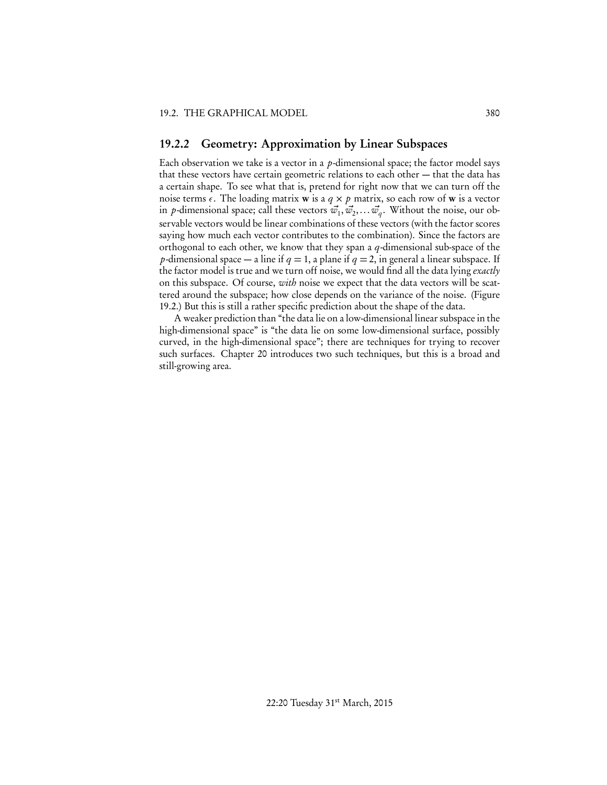#### 19.2.2 Geometry: Approximation by Linear Subspaces

Each observation we take is a vector in a *p*-dimensional space; the factor model says that these vectors have certain geometric relations to each other — that the data has a certain shape. To see what that is, pretend for right now that we can turn off the noise terms  $\epsilon$ . The loading matrix **w** is a  $q \times p$  matrix, so each row of **w** is a vector in *p*-dimensional space; call these vectors  $\vec{w}_1, \vec{w}_2, \dots \vec{w}_q$ . Without the noise, our observable vectors would be linear combinations of these vectors (with the factor scores saying how much each vector contributes to the combination). Since the factors are orthogonal to each other, we know that they span a *q*-dimensional sub-space of the *p*-dimensional space — a line if  $q = 1$ , a plane if  $q = 2$ , in general a linear subspace. If the factor model is true and we turn off noise, we would find all the data lying *exactly* on this subspace. Of course, *with* noise we expect that the data vectors will be scattered around the subspace; how close depends on the variance of the noise. (Figure 19.2.) But this is still a rather specific prediction about the shape of the data.

A weaker prediction than "the data lie on a low-dimensional linear subspace in the high-dimensional space" is "the data lie on some low-dimensional surface, possibly curved, in the high-dimensional space"; there are techniques for trying to recover such surfaces. Chapter 20 introduces two such techniques, but this is a broad and still-growing area.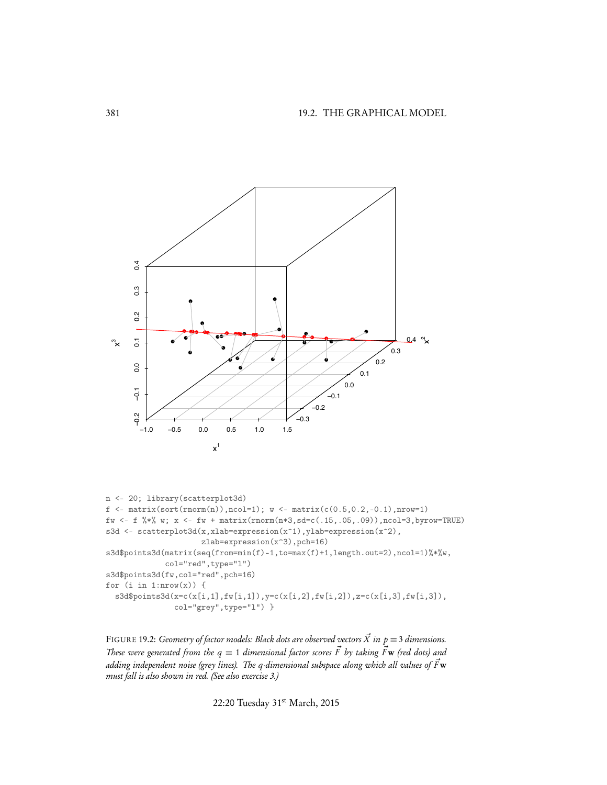

```
n <- 20; library(scatterplot3d)
f \leftarrow \text{matrix}(\text{sort}(\text{norm}(n)), \text{ncol=1}); w \leftarrow \text{matrix}(c(0.5, 0.2, -0.1), \text{nrow=1})fw <- f %*% w; x <- fw + matrix(rnorm(n*3,sd=c(.15,.05,.09)),ncol=3,byrow=TRUE)
s3d <- scatterplot3d(x,xlab=expression(x^1),ylab=expression(x^2),
                       zlab=expression(x^3),pch=16)
s3d$points3d(matrix(seq(from=min(f)-1,to=max(f)+1,length.out=2),ncol=1)%*%w,
              col="red",type="l")
s3d$points3d(fw,col="red",pch=16)
for (i \in i:n 1:nrow(x)) {
  s3d$points3d(x=c(x[i,1],fw[i,1]),y=c(x[i,2],fw[i,2]),z=c(x[i,3],fw[i,3]),
                 col="grey",type="l") }
```
FIGURE 19.2: *Geometry of factor models: Black dots are observed vectors*  $\vec{X}$  *in*  $p = 3$  *dimensions. These were generated from the*  $q = 1$  *dimensional factor scores*  $\vec{F}$  by taking  $\vec{F}$ **w** (red dots) and *adding independent noise (grey lines). The q-dimensional subspace along which all values of*  $\vec{F}{\bf w}$ *must fall is also shown in red. (See also exercise 3.)*

22:20 Tuesday 31st March, 2015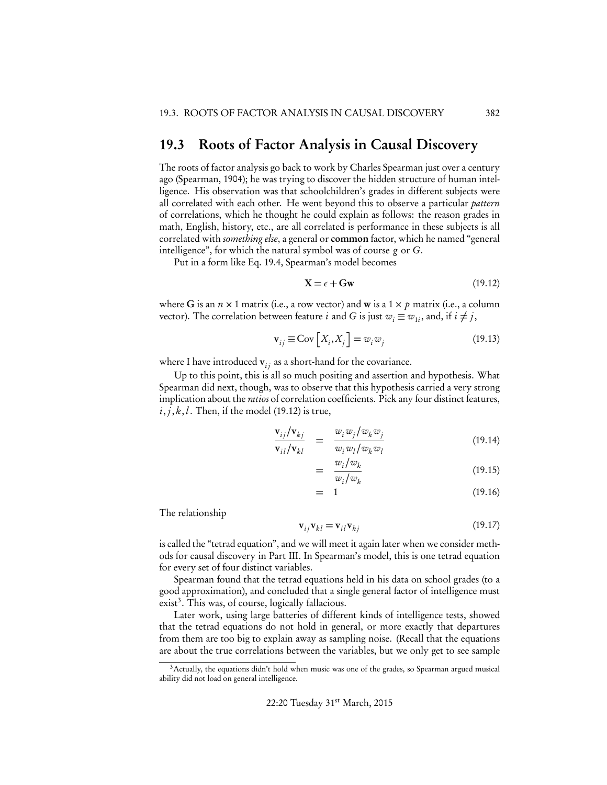## 19.3 Roots of Factor Analysis in Causal Discovery

The roots of factor analysis go back to work by Charles Spearman just over a century ago (Spearman, 1904); he was trying to discover the hidden structure of human intelligence. His observation was that schoolchildren's grades in different subjects were all correlated with each other. He went beyond this to observe a particular *pattern* of correlations, which he thought he could explain as follows: the reason grades in math, English, history, etc., are all correlated is performance in these subjects is all correlated with *something else*, a general or common factor, which he named "general intelligence", for which the natural symbol was of course *g* or *G*.

Put in a form like Eq. 19.4, Spearman's model becomes

$$
\mathbf{X} = \epsilon + \mathbf{G}\mathbf{w} \tag{19.12}
$$

where G is an  $n \times 1$  matrix (i.e., a row vector) and **w** is a  $1 \times p$  matrix (i.e., a column vector). The correlation between feature *i* and *G* is just  $w_i \equiv w_{1i}$ , and, if  $i \neq j$ ,

$$
\mathbf{v}_{ij} \equiv \text{Cov}\left[X_i, X_j\right] = w_i w_j \tag{19.13}
$$

where I have introduced  $v_{ij}$  as a short-hand for the covariance.

Up to this point, this is all so much positing and assertion and hypothesis. What Spearman did next, though, was to observe that this hypothesis carried a very strong implication about the *ratios* of correlation coefficients. Pick any four distinct features,  $i, j, k, l$ . Then, if the model (19.12) is true,

$$
\frac{\mathbf{v}_{ij}/\mathbf{v}_{kj}}{\mathbf{v}_{il}/\mathbf{v}_{kl}} = \frac{w_i w_j/w_k w_j}{w_i w_l/w_k w_l} \tag{19.14}
$$

$$
= \frac{w_i/w_k}{w_i/w_k} \tag{19.15}
$$

$$
= 1 \tag{19.16}
$$

The relationship

$$
\mathbf{v}_{ij}\mathbf{v}_{kl} = \mathbf{v}_{il}\mathbf{v}_{kj} \tag{19.17}
$$

is called the "tetrad equation", and we will meet it again later when we consider methods for causal discovery in Part III. In Spearman's model, this is one tetrad equation for every set of four distinct variables.

Spearman found that the tetrad equations held in his data on school grades (to a good approximation), and concluded that a single general factor of intelligence must  $exist<sup>3</sup>$ . This was, of course, logically fallacious.

Later work, using large batteries of different kinds of intelligence tests, showed that the tetrad equations do not hold in general, or more exactly that departures from them are too big to explain away as sampling noise. (Recall that the equations are about the true correlations between the variables, but we only get to see sample

<sup>&</sup>lt;sup>3</sup> Actually, the equations didn't hold when music was one of the grades, so Spearman argued musical ability did not load on general intelligence.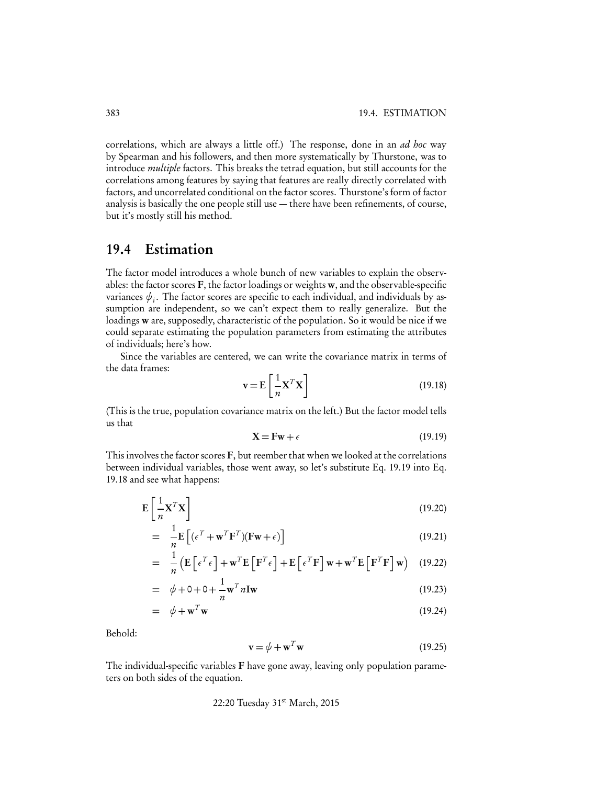correlations, which are always a little off.) The response, done in an *ad hoc* way by Spearman and his followers, and then more systematically by Thurstone, was to introduce *multiple* factors. This breaks the tetrad equation, but still accounts for the correlations among features by saying that features are really directly correlated with factors, and uncorrelated conditional on the factor scores. Thurstone's form of factor analysis is basically the one people still use — there have been refinements, of course, but it's mostly still his method.

## 19.4 Estimation

The factor model introduces a whole bunch of new variables to explain the observables: the factor scores F, the factor loadings or weights w, and the observable-specific variances  $\psi_i$ . The factor scores are specific to each individual, and individuals by assumption are independent, so we can't expect them to really generalize. But the loadings w are, supposedly, characteristic of the population. So it would be nice if we could separate estimating the population parameters from estimating the attributes of individuals; here's how.

Since the variables are centered, we can write the covariance matrix in terms of the data frames:

$$
\mathbf{v} = \mathbf{E} \left[ \frac{1}{n} \mathbf{X}^T \mathbf{X} \right] \tag{19.18}
$$

(This is the true, population covariance matrix on the left.) But the factor model tells us that

$$
\mathbf{X} = \mathbf{F}\mathbf{w} + \epsilon \tag{19.19}
$$

This involves the factor scores F, but reember that when we looked at the correlations between individual variables, those went away, so let's substitute Eq. 19.19 into Eq. 19.18 and see what happens:

$$
\mathbf{E}\left[\frac{1}{n}\mathbf{X}^T\mathbf{X}\right]
$$
 (19.20)

$$
= \frac{1}{n} \mathbf{E} \left[ (\epsilon^T + \mathbf{w}^T \mathbf{F}^T)(\mathbf{F}\mathbf{w} + \epsilon) \right]
$$
 (19.21)

$$
= \frac{1}{n} \left( \mathbf{E} \left[ \epsilon^T \epsilon \right] + \mathbf{w}^T \mathbf{E} \left[ \mathbf{F}^T \epsilon \right] + \mathbf{E} \left[ \epsilon^T \mathbf{F} \right] \mathbf{w} + \mathbf{w}^T \mathbf{E} \left[ \mathbf{F}^T \mathbf{F} \right] \mathbf{w} \right) \tag{19.22}
$$

$$
= \phi + 0 + 0 + \frac{1}{n} \mathbf{w}^T n \mathbf{I} \mathbf{w}
$$
 (19.23)

$$
= \phi + \mathbf{w}^T \mathbf{w} \tag{19.24}
$$

Behold:

$$
\mathbf{v} = \boldsymbol{\phi} + \mathbf{w}^T \mathbf{w} \tag{19.25}
$$

The individual-specific variables F have gone away, leaving only population parameters on both sides of the equation.

22:20 Tuesday 31st March, 2015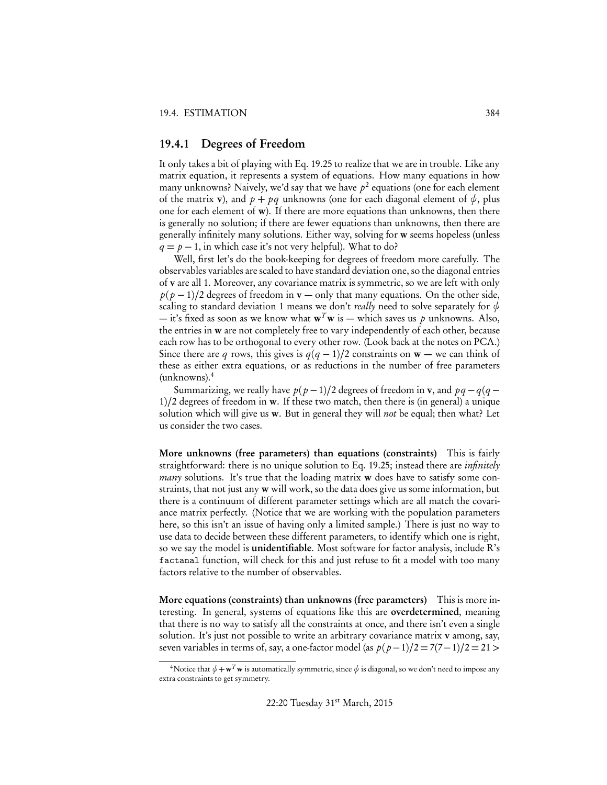## 19.4.1 Degrees of Freedom

It only takes a bit of playing with Eq. 19.25 to realize that we are in trouble. Like any matrix equation, it represents a system of equations. How many equations in how many unknowns? Naively, we'd say that we have  $p^2$  equations (one for each element of the matrix v), and  $p + pq$  unknowns (one for each diagonal element of  $\psi$ , plus one for each element of w). If there are more equations than unknowns, then there is generally no solution; if there are fewer equations than unknowns, then there are generally infinitely many solutions. Either way, solving for w seems hopeless (unless  $q = p - 1$ , in which case it's not very helpful). What to do?

Well, first let's do the book-keeping for degrees of freedom more carefully. The observables variables are scaled to have standard deviation one, so the diagonal entries of v are all 1. Moreover, any covariance matrix is symmetric, so we are left with only  $p(p-1)/2$  degrees of freedom in  $v$  — only that many equations. On the other side, scaling to standard deviation 1 means we don't *really* need to solve separately for  $\psi$ — it's fixed as soon as we know what  $w^T w$  is — which saves us p unknowns. Also, the entries in w are not completely free to vary independently of each other, because each row has to be orthogonal to every other row. (Look back at the notes on PCA.) Since there are *q* rows, this gives is  $q(q-1)/2$  constraints on  $w$  — we can think of these as either extra equations, or as reductions in the number of free parameters (unknowns).<sup>4</sup>

Summarizing, we really have  $p(p-1)/2$  degrees of freedom in **v**, and  $pq - q(q-1)$ 1)*/*2 degrees of freedom in w. If these two match, then there is (in general) a unique solution which will give us w. But in general they will *not* be equal; then what? Let us consider the two cases.

More unknowns (free parameters) than equations (constraints) This is fairly straightforward: there is no unique solution to Eq. 19.25; instead there are *infinitely many* solutions. It's true that the loading matrix **w** does have to satisfy some constraints, that not just any w will work, so the data does give us some information, but there is a continuum of different parameter settings which are all match the covariance matrix perfectly. (Notice that we are working with the population parameters here, so this isn't an issue of having only a limited sample.) There is just no way to use data to decide between these different parameters, to identify which one is right, so we say the model is unidentifiable. Most software for factor analysis, include R's factanal function, will check for this and just refuse to fit a model with too many factors relative to the number of observables.

More equations (constraints) than unknowns (free parameters) This is more interesting. In general, systems of equations like this are overdetermined, meaning that there is no way to satisfy all the constraints at once, and there isn't even a single solution. It's just not possible to write an arbitrary covariance matrix v among, say, seven variables in terms of, say, a one-factor model (as  $p(p-1)/2 = 7(7-1)/2 = 21$  >

<sup>&</sup>lt;sup>4</sup>Notice that  $\psi + \mathbf{w}^T\mathbf{w}$  is automatically symmetric, since  $\psi$  is diagonal, so we don't need to impose any extra constraints to get symmetry.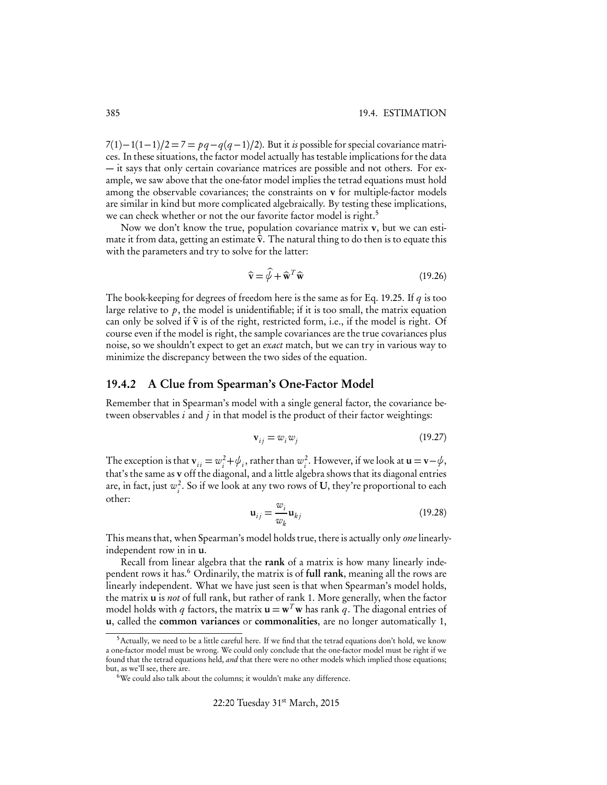#### 385 19.4. ESTIMATION

 $7(1)-1(1-1)/2 = 7 = pq - q(q-1)/2$ . But it *is* possible for special covariance matrices. In these situations, the factor model actually has testable implications for the data — it says that only certain covariance matrices are possible and not others. For example, we saw above that the one-fator model implies the tetrad equations must hold among the observable covariances; the constraints on v for multiple-factor models are similar in kind but more complicated algebraically. By testing these implications, we can check whether or not the our favorite factor model is right.<sup>5</sup>

Now we don't know the true, population covariance matrix v, but we can estimate it from data, getting an estimate  $\hat{v}$ . The natural thing to do then is to equate this with the parameters and try to solve for the latter:

$$
\widehat{\mathbf{v}} = \widehat{\psi} + \widehat{\mathbf{w}}^T \widehat{\mathbf{w}} \tag{19.26}
$$

The book-keeping for degrees of freedom here is the same as for Eq. 19.25. If *q* is too large relative to *p*, the model is unidentifiable; if it is too small, the matrix equation can only be solved if  $\hat{v}$  is of the right, restricted form, i.e., if the model is right. Of course even if the model is right, the sample covariances are the true covariances plus noise, so we shouldn't expect to get an *exact* match, but we can try in various way to minimize the discrepancy between the two sides of the equation.

#### 19.4.2 A Clue from Spearman's One-Factor Model

Remember that in Spearman's model with a single general factor, the covariance between observables *i* and *j* in that model is the product of their factor weightings:

$$
\mathbf{v}_{ij} = w_i w_j \tag{19.27}
$$

The exception is that  $\mathbf{v}_{ii} = w_i^2 + \psi_i$ , rather than  $w_i^2$ . However, if we look at  $\mathbf{u} = \mathbf{v} - \psi$ , that's the same as v off the diagonal, and a little algebra shows that its diagonal entries are, in fact, just  $w_i^2$ . So if we look at any two rows of U, they're proportional to each other:

$$
\mathbf{u}_{ij} = \frac{w_i}{w_k} \mathbf{u}_{kj} \tag{19.28}
$$

This means that, when Spearman's model holds true, there is actually only *one*linearlyindependent row in in u.

Recall from linear algebra that the rank of a matrix is how many linearly independent rows it has.<sup>6</sup> Ordinarily, the matrix is of full rank, meaning all the rows are linearly independent. What we have just seen is that when Spearman's model holds, the matrix u is *not* of full rank, but rather of rank 1. More generally, when the factor model holds with *q* factors, the matrix  $\mathbf{u} = \mathbf{w}^T \mathbf{w}$  has rank *q*. The diagonal entries of u, called the common variances or commonalities, are no longer automatically 1,

<sup>&</sup>lt;sup>5</sup> Actually, we need to be a little careful here. If we find that the tetrad equations don't hold, we know a one-factor model must be wrong. We could only conclude that the one-factor model must be right if we found that the tetrad equations held, *and* that there were no other models which implied those equations; but, as we'll see, there are.

<sup>&</sup>lt;sup>6</sup>We could also talk about the columns; it wouldn't make any difference.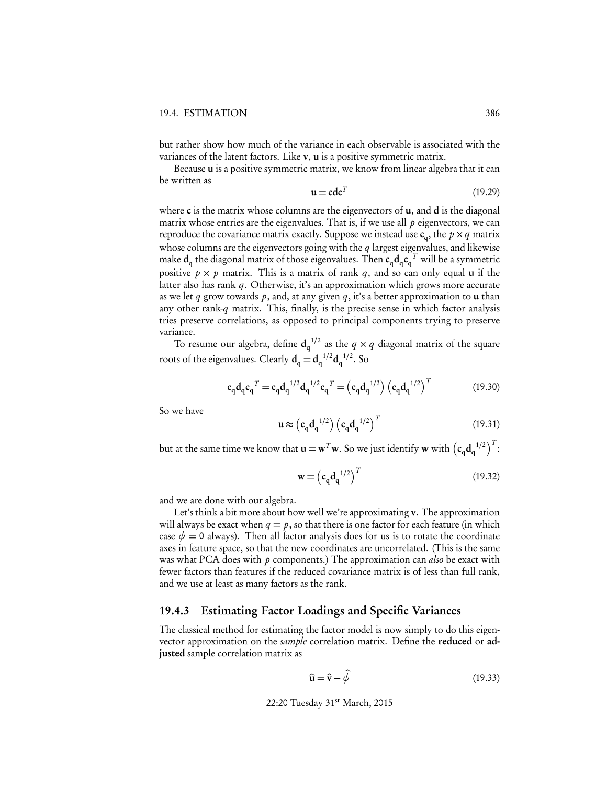but rather show how much of the variance in each observable is associated with the variances of the latent factors. Like v, u is a positive symmetric matrix.

Because u is a positive symmetric matrix, we know from linear algebra that it can be written as

$$
\mathbf{u} = \mathbf{c}\mathbf{d}\mathbf{c}^T \tag{19.29}
$$

where  $\bf c$  is the matrix whose columns are the eigenvectors of  $\bf u$ , and  $\bf d$  is the diagonal matrix whose entries are the eigenvalues. That is, if we use all *p* eigenvectors, we can reproduce the covariance matrix exactly. Suppose we instead use  $c_q$ , the  $p \times q$  matrix whose columns are the eigenvectors going with the *q* largest eigenvalues, and likewise make  $d_q$  the diagonal matrix of those eigenvalues. Then  $c_q d_q c_q^T$  will be a symmetric positive  $p \times p$  matrix. This is a matrix of rank q, and so can only equal  $\bf{u}$  if the latter also has rank *q*. Otherwise, it's an approximation which grows more accurate as we let *q* grow towards *p*, and, at any given *q*, it's a better approximation to u than any other rank-*q* matrix. This, finally, is the precise sense in which factor analysis tries preserve correlations, as opposed to principal components trying to preserve variance.

To resume our algebra, define  $d_q^{-1/2}$  as the  $q \times q$  diagonal matrix of the square roots of the eigenvalues. Clearly  $d_q = d_q^{-1/2} d_q^{-1/2}$ . So

$$
c_q d_q c_q^T = c_q d_q^{1/2} d_q^{1/2} c_q^T = (c_q d_q^{1/2}) (c_q d_q^{1/2})^T
$$
 (19.30)

So we have

$$
\mathbf{u} \approx \left(\mathbf{c}_q \mathbf{d}_q^{-1/2}\right) \left(\mathbf{c}_q \mathbf{d}_q^{-1/2}\right)^T \tag{19.31}
$$

but at the same time we know that  $\mathbf{u} = \mathbf{w}^T \mathbf{w}$ . So we just identify  $\mathbf{w}$  with  $(c_q \mathbf{d}_q^{-1/2})^T$ :

$$
\mathbf{w} = \left(\mathbf{c}_q \mathbf{d}_q^{-1/2}\right)^T \tag{19.32}
$$

and we are done with our algebra.

Let's think a bit more about how well we're approximating v. The approximation will always be exact when  $q = p$ , so that there is one factor for each feature (in which case  $\psi = 0$  always). Then all factor analysis does for us is to rotate the coordinate axes in feature space, so that the new coordinates are uncorrelated. (This is the same was what PCA does with *p* components.) The approximation can *also* be exact with fewer factors than features if the reduced covariance matrix is of less than full rank, and we use at least as many factors as the rank.

#### 19.4.3 Estimating Factor Loadings and Specific Variances

The classical method for estimating the factor model is now simply to do this eigenvector approximation on the *sample* correlation matrix. Define the reduced or adjusted sample correlation matrix as

$$
\widehat{\mathbf{u}} = \widehat{\mathbf{v}} - \widehat{\boldsymbol{\psi}} \tag{19.33}
$$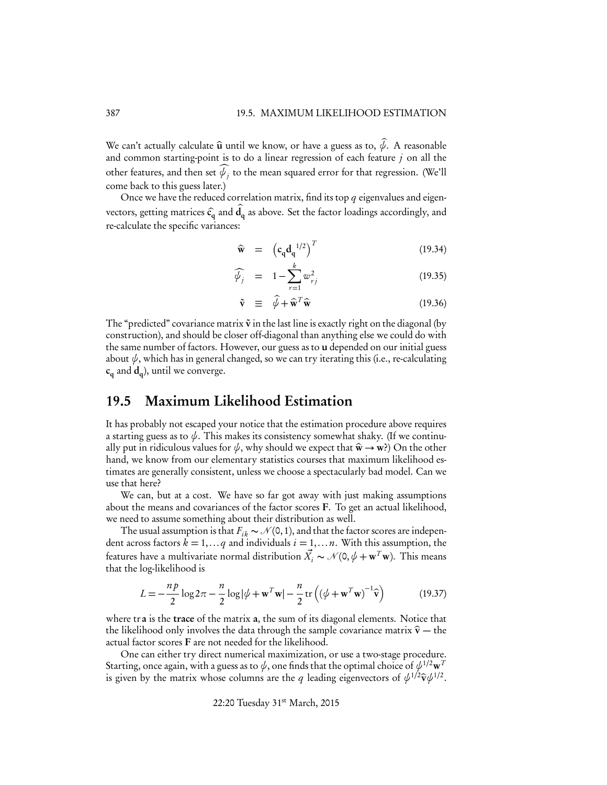We can't actually calculate  $\hat{u}$  until we know, or have a guess as to,  $\hat{\psi}$ . A reasonable and common starting-point is to do a linear regression of each feature *j* on all the other features, and then set  $\psi_j$  to the mean squared error for that regression. (We'll come back to this guess later.)

Once we have the reduced correlation matrix, find its top *q* eigenvalues and eigenvectors, getting matrices  $\hat{c}_q$  and  $\hat{d}_q$  as above. Set the factor loadings accordingly, and re-calculate the specific variances:

$$
\widehat{\mathbf{w}} = (\mathbf{c}_q \mathbf{d}_q^{-1/2})^T \tag{19.34}
$$

$$
\widehat{\psi}_j = 1 - \sum_{r=1}^k w_{rj}^2 \tag{19.35}
$$

$$
\tilde{\mathbf{v}} \equiv \hat{\psi} + \hat{\mathbf{w}}^T \hat{\mathbf{w}} \tag{19.36}
$$

The "predicted" covariance matrix  $\tilde{v}$  in the last line is exactly right on the diagonal (by construction), and should be closer off-diagonal than anything else we could do with the same number of factors. However, our guess as to u depended on our initial guess about  $\psi$ , which has in general changed, so we can try iterating this (i.e., re-calculating  $c_q$  and  $d_q$ ), until we converge.

## 19.5 Maximum Likelihood Estimation

It has probably not escaped your notice that the estimation procedure above requires a starting guess as to  $\psi$ . This makes its consistency somewhat shaky. (If we continually put in ridiculous values for  $\psi$ , why should we expect that  $\hat{\mathbf{w}} \to \mathbf{w}$ ?) On the other hand, we know from our elementary statistics courses that maximum likelihood estimates are generally consistent, unless we choose a spectacularly bad model. Can we use that here?

We can, but at a cost. We have so far got away with just making assumptions about the means and covariances of the factor scores F. To get an actual likelihood, we need to assume something about their distribution as well.

The usual assumption is that  $F_{ik} \sim \mathcal{N}(0, 1)$ , and that the factor scores are independent across factors  $k = 1, \ldots q$  and individuals  $i = 1, \ldots n$ . With this assumption, the features have a multivariate normal distribution  $\vec{X}_i \sim \mathcal{N}(0, \psi + \mathbf{w}^T \mathbf{w})$ . This means that the log-likelihood is

$$
L = -\frac{n p}{2} \log 2\pi - \frac{n}{2} \log |\psi + \mathbf{w}^T \mathbf{w}| - \frac{n}{2} \operatorname{tr} \left( (\psi + \mathbf{w}^T \mathbf{w})^{-1} \hat{\mathbf{v}} \right)
$$
(19.37)

where tra is the trace of the matrix a, the sum of its diagonal elements. Notice that the likelihood only involves the data through the sample covariance matrix  $\hat{v}$  — the actual factor scores F are not needed for the likelihood.

One can either try direct numerical maximization, or use a two-stage procedure. Starting, once again, with a guess as to  $\psi$ , one finds that the optimal choice of  $\psi^{1/2}\mathbf{w}^T$ is given by the matrix whose columns are the *q* leading eigenvectors of  $\psi^{1/2}\hat{\mathbf{v}}\psi^{1/2}$ .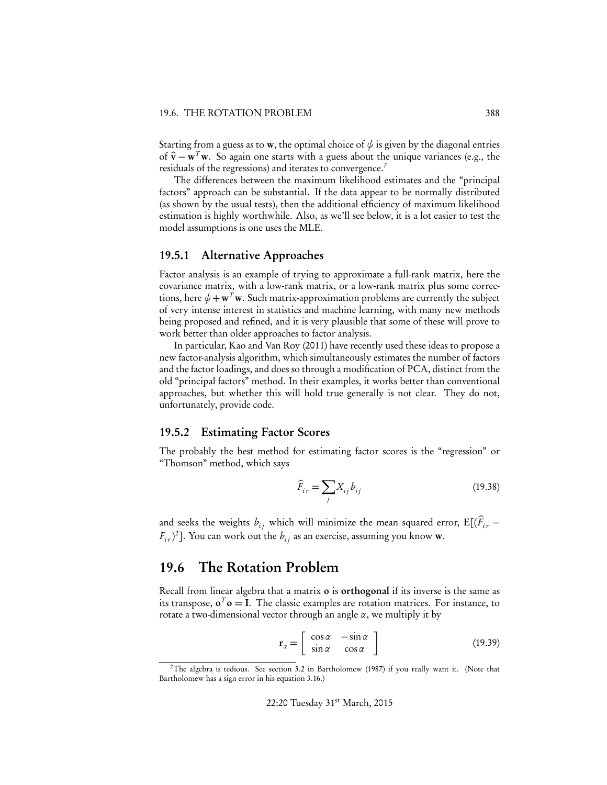Starting from a guess as to **w**, the optimal choice of  $\psi$  is given by the diagonal entries of  $\hat{\mathbf{v}} - \mathbf{w}^T \mathbf{w}$ . So again one starts with a guess about the unique variances (e.g., the residuals of the regressions) and iterates to convergence.<sup>7</sup>

The differences between the maximum likelihood estimates and the "principal factors" approach can be substantial. If the data appear to be normally distributed (as shown by the usual tests), then the additional efficiency of maximum likelihood estimation is highly worthwhile. Also, as we'll see below, it is a lot easier to test the model assumptions is one uses the MLE.

#### 19.5.1 Alternative Approaches

Factor analysis is an example of trying to approximate a full-rank matrix, here the covariance matrix, with a low-rank matrix, or a low-rank matrix plus some corrections, here  $\psi + \mathbf{w}^T \mathbf{w}$ . Such matrix-approximation problems are currently the subject of very intense interest in statistics and machine learning, with many new methods being proposed and refined, and it is very plausible that some of these will prove to work better than older approaches to factor analysis.

In particular, Kao and Van Roy (2011) have recently used these ideas to propose a new factor-analysis algorithm, which simultaneously estimates the number of factors and the factor loadings, and does so through a modification of PCA, distinct from the old "principal factors" method. In their examples, it works better than conventional approaches, but whether this will hold true generally is not clear. They do not, unfortunately, provide code.

#### 19.5.2 Estimating Factor Scores

The probably the best method for estimating factor scores is the "regression" or "Thomson" method, which says

$$
\widehat{F}_{i\,r} = \sum_{j} X_{ij} b_{ij} \tag{19.38}
$$

and seeks the weights  $b_{ij}$  which will minimize the mean squared error,  $\mathbf{E}[(F_{ir} (F_{i,r})^2$ ]. You can work out the  $b_{ij}$  as an exercise, assuming you know **w**.

## 19.6 The Rotation Problem

Recall from linear algebra that a matrix o is orthogonal if its inverse is the same as its transpose,  $\mathbf{o}^T \mathbf{o} = I$ . The classic examples are rotation matrices. For instance, to rotate a two-dimensional vector through an angle  $\alpha$ , we multiply it by

$$
\mathbf{r}_{\alpha} = \begin{bmatrix} \cos \alpha & -\sin \alpha \\ \sin \alpha & \cos \alpha \end{bmatrix}
$$
 (19.39)

<sup>&</sup>lt;sup>7</sup>The algebra is tedious. See section 3.2 in Bartholomew (1987) if you really want it. (Note that Bartholomew has a sign error in his equation 3.16.)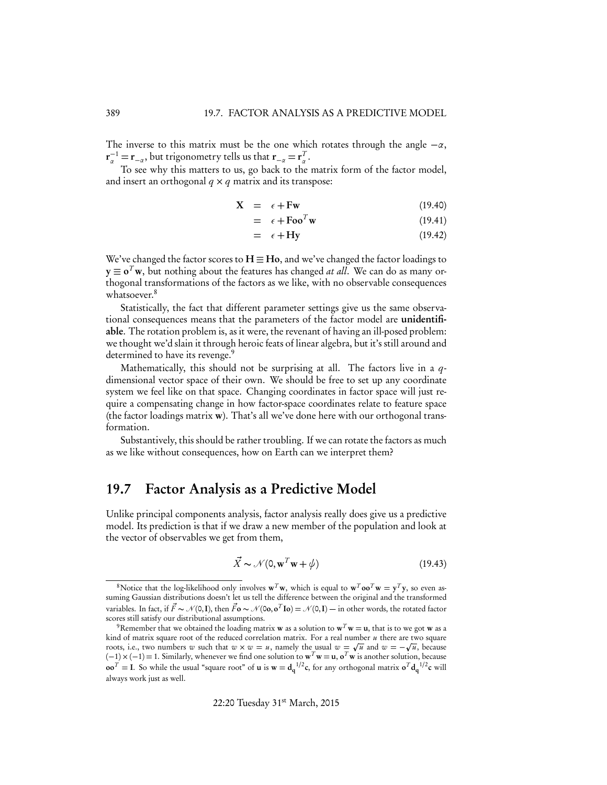The inverse to this matrix must be the one which rotates through the angle  $-\alpha$ ,  $\mathbf{r}_{\alpha}^{-1} = \mathbf{r}_{-\alpha}$ , but trigonometry tells us that  $\mathbf{r}_{-\alpha} = \mathbf{r}_{\alpha}^{T}$ .

To see why this matters to us, go back to the matrix form of the factor model, and insert an orthogonal  $q \times q$  matrix and its transpose:

$$
\mathbf{X} = \epsilon + \mathbf{F}\mathbf{w} \tag{19.40}
$$

$$
= \epsilon + \mathrm{Foo}^T \mathbf{w} \tag{19.41}
$$

$$
= \epsilon + Hy \tag{19.42}
$$

We've changed the factor scores to  $H \equiv Ho$ , and we've changed the factor loadings to  $y \equiv o^T w$ , but nothing about the features has changed *at all*. We can do as many orthogonal transformations of the factors as we like, with no observable consequences whatsoever.<sup>8</sup>

Statistically, the fact that different parameter settings give us the same observational consequences means that the parameters of the factor model are unidentifiable. The rotation problem is, as it were, the revenant of having an ill-posed problem: we thought we'd slain it through heroic feats of linear algebra, but it's still around and determined to have its revenge.<sup>9</sup>

Mathematically, this should not be surprising at all. The factors live in a *q*dimensional vector space of their own. We should be free to set up any coordinate system we feel like on that space. Changing coordinates in factor space will just require a compensating change in how factor-space coordinates relate to feature space (the factor loadings matrix  $\bf{w}$ ). That's all we've done here with our orthogonal transformation.

Substantively, this should be rather troubling. If we can rotate the factors as much as we like without consequences, how on Earth can we interpret them?

## 19.7 Factor Analysis as a Predictive Model

Unlike principal components analysis, factor analysis really does give us a predictive model. Its prediction is that if we draw a new member of the population and look at the vector of observables we get from them,

$$
\vec{X} \sim \mathcal{N}(0, \mathbf{w}^T \mathbf{w} + \phi) \tag{19.43}
$$

<sup>&</sup>lt;sup>8</sup>Notice that the log-likelihood only involves  $\mathbf{w}^T \mathbf{w}$ , which is equal to  $\mathbf{w}^T \mathbf{oo}^T \mathbf{w} = \mathbf{y}^T \mathbf{y}$ , so even assuming Gaussian distributions doesn't let us tell the difference between the original and the transformed variables. In fact, if  $\vec{F} \sim \mathcal{N}(0, I)$ , then  $\vec{F} \sim \mathcal{N}(0, \mathbf{o}, \mathbf{o}^T \mathbf{I} \mathbf{o}) = \mathcal{N}(0, I) - \text{in other words, the rotated factor}$ scores still satisfy our distributional assumptions.

<sup>&</sup>lt;sup>9</sup>Remember that we obtained the loading matrix **w** as a solution to  $\mathbf{w}^T \mathbf{w} = \mathbf{u}$ , that is to we got **w** as a kind of matrix square root of the reduced correlation matrix. For a real number *u* there are two square roots, i.e., two numbers *w* such that  $w \times w = u$ , namely the usual  $w = \sqrt{u}$  and  $w = -\sqrt{u}$ , because  $(-1) \times (-1) = 1$ . Similarly, whenever we find one solution to  $\mathbf{w}^T \mathbf{w} = \mathbf{u}$ ,  $\mathbf{o}^T \mathbf{w}$  is another solution, because  $\mathbf{co}^T = \mathbf{I}$ . So while the usual "square root" of **u** is  $\mathbf{w} = \mathbf{d_q}^{1/2} \mathbf{c}$ , for any orthogonal matrix  $\mathbf{o}^T \mathbf{d_q}^{1/2} \mathbf{c}$  will always work just as well.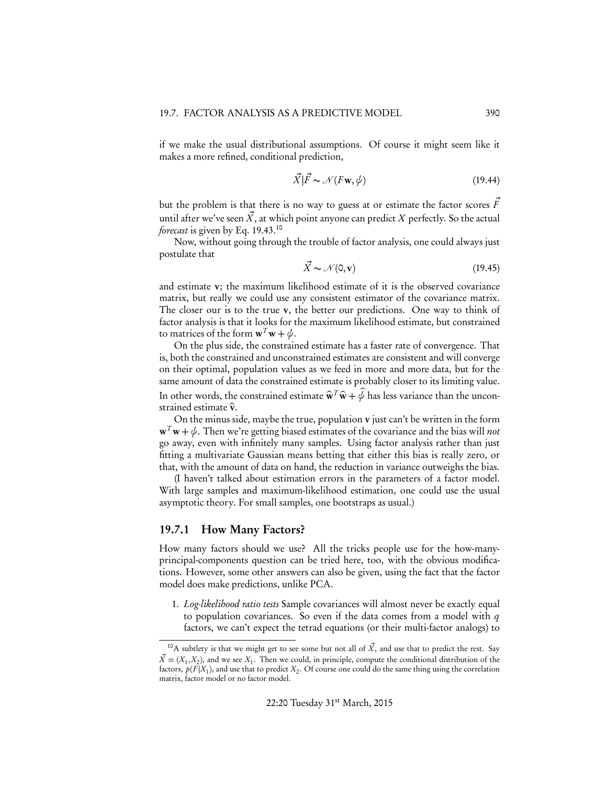if we make the usual distributional assumptions. Of course it might seem like it makes a more refined, conditional prediction,

$$
\vec{X}|\vec{F} \sim \mathcal{N}(F\mathbf{w}, \phi) \tag{19.44}
$$

but the problem is that there is no way to guess at or estimate the factor scores  $\vec{F}$ until after we've seen  $\vec{X}$ , at which point anyone can predict  $X$  perfectly. So the actual *forecast* is given by Eq. 19.43.<sup>10</sup>

Now, without going through the trouble of factor analysis, one could always just postulate that

$$
\vec{X} \sim \mathcal{N}(0, \mathbf{v}) \tag{19.45}
$$

and estimate v; the maximum likelihood estimate of it is the observed covariance matrix, but really we could use any consistent estimator of the covariance matrix. The closer our is to the true v, the better our predictions. One way to think of factor analysis is that it looks for the maximum likelihood estimate, but constrained to matrices of the form  $\mathbf{w}^T \mathbf{w} + \psi$ .

On the plus side, the constrained estimate has a faster rate of convergence. That is, both the constrained and unconstrained estimates are consistent and will converge on their optimal, population values as we feed in more and more data, but for the same amount of data the constrained estimate is probably closer to its limiting value. In other words, the constrained estimate  $\hat{\mathbf{w}}^T \hat{\mathbf{w}} + \hat{\psi}$  has less variance than the unconstrained estimate  $\hat{v}$ .

On the minus side, maybe the true, population v just can't be written in the form  $\mathbf{w}^T \mathbf{w} + \psi$ . Then we're getting biased estimates of the covariance and the bias will *not* go away, even with infinitely many samples. Using factor analysis rather than just fitting a multivariate Gaussian means betting that either this bias is really zero, or that, with the amount of data on hand, the reduction in variance outweighs the bias.

(I haven't talked about estimation errors in the parameters of a factor model. With large samples and maximum-likelihood estimation, one could use the usual asymptotic theory. For small samples, one bootstraps as usual.)

#### 19.7.1 How Many Factors?

How many factors should we use? All the tricks people use for the how-manyprincipal-components question can be tried here, too, with the obvious modifications. However, some other answers can also be given, using the fact that the factor model does make predictions, unlike PCA.

1. *Log-likelihood ratio tests* Sample covariances will almost never be exactly equal to population covariances. So even if the data comes from a model with *q* factors, we can't expect the tetrad equations (or their multi-factor analogs) to

<sup>&</sup>lt;sup>10</sup>A subtlety is that we might get to see some but not all of  $\vec{X}$ , and use that to predict the rest. Say  $\vec{X} = (X_1, X_2)$ , and we see  $X_1$ . Then we could, in principle, compute the conditional distribution of the factors,  $p(F|X_1)$ , and use that to predict  $X_2$ . Of course one could do the same thing using the correlation matrix, factor model or no factor model.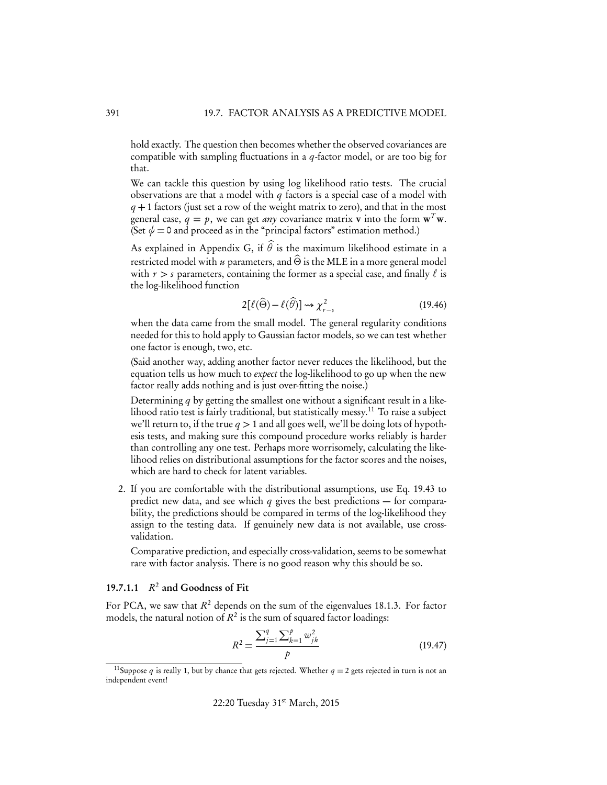hold exactly. The question then becomes whether the observed covariances are compatible with sampling fluctuations in a *q*-factor model, or are too big for that.

We can tackle this question by using log likelihood ratio tests. The crucial observations are that a model with *q* factors is a special case of a model with *q* + 1 factors (just set a row of the weight matrix to zero), and that in the most general case,  $q = p$ , we can get *any* covariance matrix **v** into the form  $\mathbf{w}^T \mathbf{w}$ . (Set  $\psi = 0$  and proceed as in the "principal factors" estimation method.)

As explained in Appendix G, if  $\theta$  is the maximum likelihood estimate in a restricted model with  $u$  parameters, and  $\widehat{\Theta}$  is the MLE in a more general model with  $r > s$  parameters, containing the former as a special case, and finally  $\ell$  is the log-likelihood function

$$
2[\ell(\widehat{\Theta}) - \ell(\widehat{\theta})] \rightsquigarrow \chi^2_{r-s}
$$
\n(19.46)

when the data came from the small model. The general regularity conditions needed for this to hold apply to Gaussian factor models, so we can test whether one factor is enough, two, etc.

(Said another way, adding another factor never reduces the likelihood, but the equation tells us how much to *expect* the log-likelihood to go up when the new factor really adds nothing and is just over-fitting the noise.)

Determining *q* by getting the smallest one without a significant result in a likelihood ratio test is fairly traditional, but statistically messy.<sup>11</sup> To raise a subject we'll return to, if the true  $q > 1$  and all goes well, we'll be doing lots of hypothesis tests, and making sure this compound procedure works reliably is harder than controlling any one test. Perhaps more worrisomely, calculating the likelihood relies on distributional assumptions for the factor scores and the noises, which are hard to check for latent variables.

2. If you are comfortable with the distributional assumptions, use Eq. 19.43 to predict new data, and see which *q* gives the best predictions — for comparability, the predictions should be compared in terms of the log-likelihood they assign to the testing data. If genuinely new data is not available, use crossvalidation.

Comparative prediction, and especially cross-validation, seems to be somewhat rare with factor analysis. There is no good reason why this should be so.

#### 19.7.1.1  $R^2$  and Goodness of Fit

For PCA, we saw that  $R^2$  depends on the sum of the eigenvalues 18.1.3. For factor models, the natural notion of  $R^2$  is the sum of squared factor loadings:

$$
R^{2} = \frac{\sum_{j=1}^{q} \sum_{k=1}^{p} w_{jk}^{2}}{p}
$$
 (19.47)

<sup>&</sup>lt;sup>11</sup>Suppose *q* is really 1, but by chance that gets rejected. Whether  $q = 2$  gets rejected in turn is not an independent event!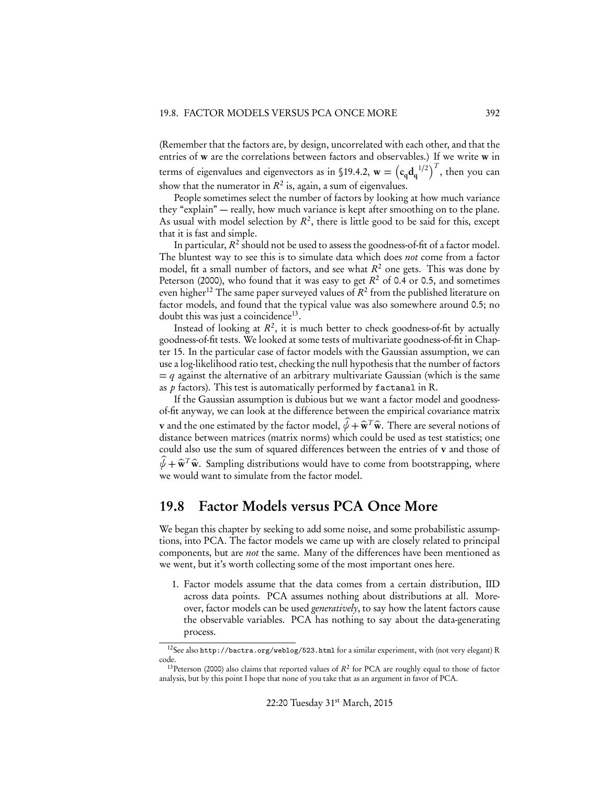(Remember that the factors are, by design, uncorrelated with each other, and that the entries of w are the correlations between factors and observables.) If we write w in terms of eigenvalues and eigenvectors as in §19.4.2,  $\mathbf{w} = \left( \mathbf{c_q d_q}^{1/2} \right)^T$ , then you can show that the numerator in  $R^2$  is, again, a sum of eigenvalues.

People sometimes select the number of factors by looking at how much variance they "explain" — really, how much variance is kept after smoothing on to the plane. As usual with model selection by  $R^2$ , there is little good to be said for this, except that it is fast and simple.

In particular,  $R^2$  should not be used to assess the goodness-of-fit of a factor model. The bluntest way to see this is to simulate data which does *not* come from a factor model, fit a small number of factors, and see what  $R^2$  one gets. This was done by Peterson (2000), who found that it was easy to get  $R^2$  of 0.4 or 0.5, and sometimes even higher<sup>12</sup> The same paper surveyed values of  $R^2$  from the published literature on factor models, and found that the typical value was also somewhere around 0.5; no doubt this was just a coincidence<sup>13</sup>.

Instead of looking at  $R^2$ , it is much better to check goodness-of-fit by actually goodness-of-fit tests. We looked at some tests of multivariate goodness-of-fit in Chapter 15. In the particular case of factor models with the Gaussian assumption, we can use a log-likelihood ratio test, checking the null hypothesis that the number of factors  $=$  *q* against the alternative of an arbitrary multivariate Gaussian (which is the same as *p* factors). This test is automatically performed by factanal in R.

If the Gaussian assumption is dubious but we want a factor model and goodnessof-fit anyway, we can look at the difference between the empirical covariance matrix **v** and the one estimated by the factor model,  $\hat{\psi} + \hat{\mathbf{w}}^T \hat{\mathbf{w}}$ . There are several notions of distance between matrices (matrix norms) which could be used as test statistics; one could also use the sum of squared differences between the entries of v and those of  $\widehat{\psi} + \widehat{\mathbf{w}}^T \widehat{\mathbf{w}}$ . Sampling distributions would have to come from bootstrapping, where we would want to simulate from the factor model.

## 19.8 Factor Models versus PCA Once More

We began this chapter by seeking to add some noise, and some probabilistic assumptions, into PCA. The factor models we came up with are closely related to principal components, but are *not* the same. Many of the differences have been mentioned as we went, but it's worth collecting some of the most important ones here.

1. Factor models assume that the data comes from a certain distribution, IID across data points. PCA assumes nothing about distributions at all. Moreover, factor models can be used *generatively*, to say how the latent factors cause the observable variables. PCA has nothing to say about the data-generating process.

<sup>12</sup>See also http://bactra.org/weblog/523.html for a similar experiment, with (not very elegant) R code.

<sup>&</sup>lt;sup>13</sup>Peterson (2000) also claims that reported values of  $R^2$  for PCA are roughly equal to those of factor analysis, but by this point I hope that none of you take that as an argument in favor of PCA.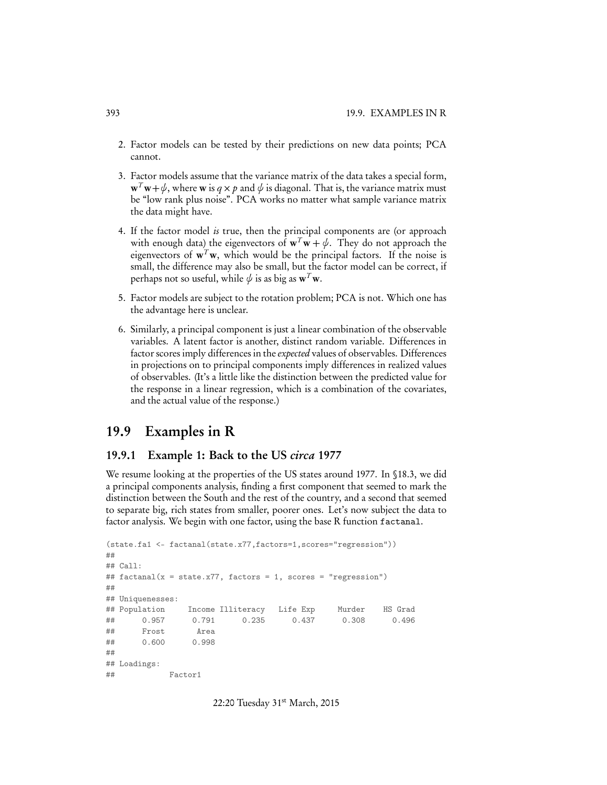- 2. Factor models can be tested by their predictions on new data points; PCA cannot.
- 3. Factor models assume that the variance matrix of the data takes a special form,  $\mathbf{w}^T \mathbf{w} + \psi$ , where **w** is  $q \times p$  and  $\psi$  is diagonal. That is, the variance matrix must be "low rank plus noise". PCA works no matter what sample variance matrix the data might have.
- 4. If the factor model *is* true, then the principal components are (or approach with enough data) the eigenvectors of  $w^T w + \psi$ . They do not approach the eigenvectors of  $w<sup>T</sup>w$ , which would be the principal factors. If the noise is small, the difference may also be small, but the factor model can be correct, if perhaps not so useful, while  $\phi$  is as big as  $\mathbf{w}^T \mathbf{w}$ .
- 5. Factor models are subject to the rotation problem; PCA is not. Which one has the advantage here is unclear.
- 6. Similarly, a principal component is just a linear combination of the observable variables. A latent factor is another, distinct random variable. Differences in factor scores imply differences in the *expected* values of observables. Differences in projections on to principal components imply differences in realized values of observables. (It's a little like the distinction between the predicted value for the response in a linear regression, which is a combination of the covariates, and the actual value of the response.)

## 19.9 Examples in R

#### 19.9.1 Example 1: Back to the US *circa* 1977

We resume looking at the properties of the US states around 1977. In §18.3, we did a principal components analysis, finding a first component that seemed to mark the distinction between the South and the rest of the country, and a second that seemed to separate big, rich states from smaller, poorer ones. Let's now subject the data to factor analysis. We begin with one factor, using the base R function factanal.

```
(state.fa1 <- factanal(state.x77,factors=1,scores="regression"))
##
## Call:
## factanal(x = state.x77, factors = 1, scores = "regression")
##
## Uniquenesses:
## Population Income Illiteracy Life Exp Murder HS Grad
## 0.957 0.791 0.235 0.437 0.308 0.496
## Frost Area
## 0.600 0.998
##
## Loadings:
## Factor1
```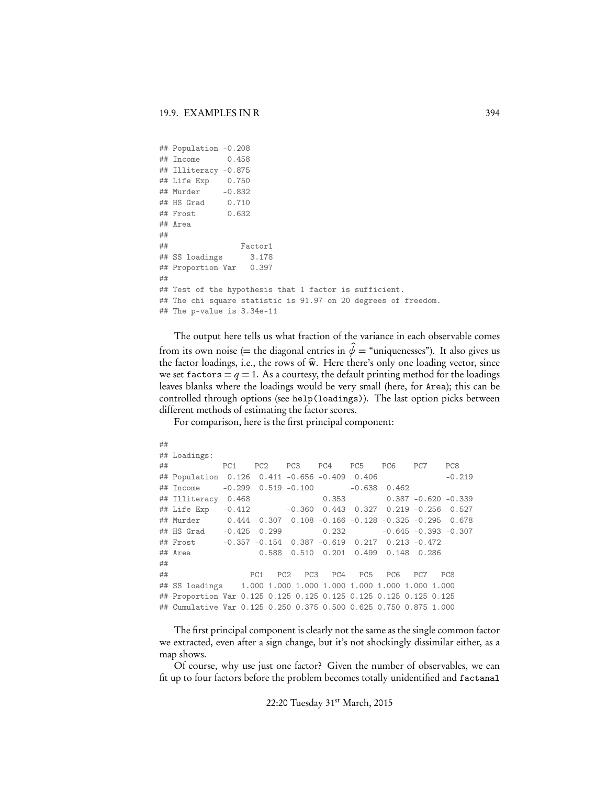```
## Population -0.208
## Income 0.458
## Illiteracy -0.875
## Life Exp 0.750
## Murder -0.832
## HS Grad 0.710
## Frost 0.632
## Area
##
## Factor1
## SS loadings 3.178
## Proportion Var 0.397
##
## Test of the hypothesis that 1 factor is sufficient.
## The chi square statistic is 91.97 on 20 degrees of freedom.
## The p-value is 3.34e-11
```
The output here tells us what fraction of the variance in each observable comes from its own noise (= the diagonal entries in  $\hat{\psi}$  = "uniquenesses"). It also gives us the factor loadings, i.e., the rows of  $\hat{\mathbf{w}}$ . Here there's only one loading vector, since we set factors  $= q = 1$ . As a courtesy, the default printing method for the loadings leaves blanks where the loadings would be very small (here, for Area); this can be controlled through options (see help(loadings)). The last option picks between different methods of estimating the factor scores.

For comparison, here is the first principal component:

```
##
## Loadings:
## PC1 PC2 PC3 PC4 PC5 PC6 PC7 PC8
## Population 0.126 0.411 -0.656 -0.409 0.406 -0.219
## Income -0.299 0.519 -0.100 -0.638 0.462
## Illiteracy 0.468 0.353 0.387 -0.620 -0.339
## Life Exp -0.412 -0.360 0.443 0.327 0.219 -0.256 0.527
## Murder 0.444 0.307 0.108 -0.166 -0.128 -0.325 -0.295 0.678
## HS Grad -0.425 0.299 0.232 -0.645 -0.393 -0.307
## Frost -0.357 -0.154 0.387 -0.619 0.217 0.213 -0.472
## Area 0.588 0.510 0.201 0.499 0.148 0.286
##
## PC1 PC2 PC3 PC4 PC5 PC6 PC7 PC8
## SS loadings 1.000 1.000 1.000 1.000 1.000 1.000 1.000 1.000
## Proportion Var 0.125 0.125 0.125 0.125 0.125 0.125 0.125 0.125
## Cumulative Var 0.125 0.250 0.375 0.500 0.625 0.750 0.875 1.000
```
The first principal component is clearly not the same as the single common factor we extracted, even after a sign change, but it's not shockingly dissimilar either, as a map shows.

Of course, why use just one factor? Given the number of observables, we can fit up to four factors before the problem becomes totally unidentified and factanal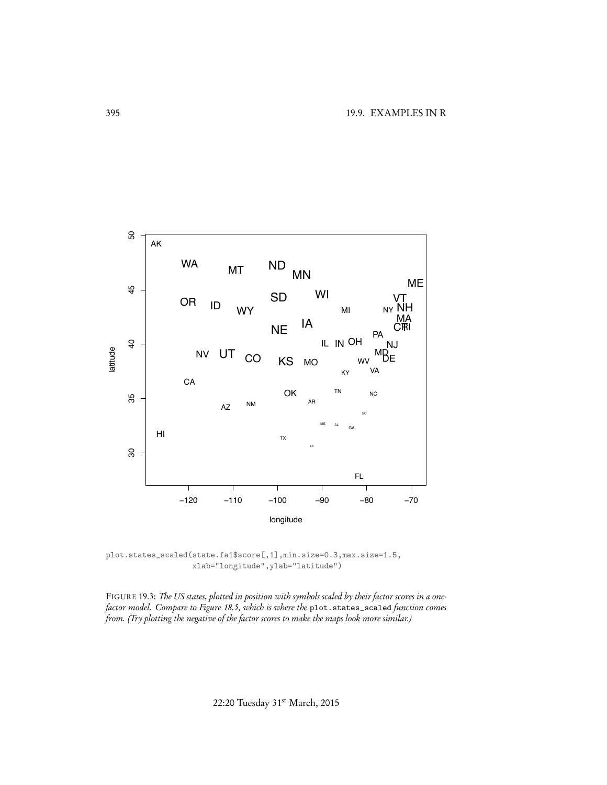

plot.states\_scaled(state.fa1\$score[,1],min.size=0.3,max.size=1.5, xlab="longitude",ylab="latitude")

FIGURE 19.3: *The US states, plotted in position with symbols scaled by their factor scores in a onefactor model. Compare to Figure 18.5, which is where the* plot.states\_scaled *function comes from. (Try plotting the negative of the factor scores to make the maps look more similar.)*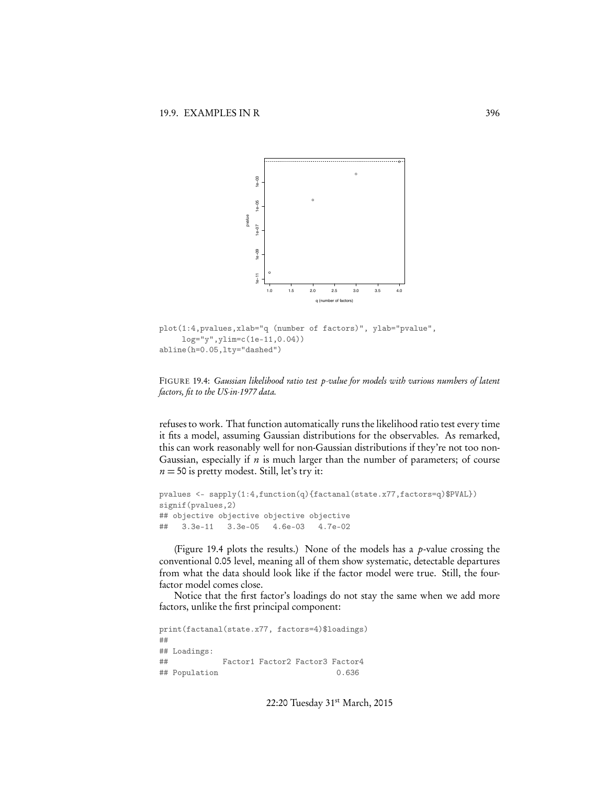

```
plot(1:4,pvalues,xlab="q (number of factors)", ylab="pvalue",
     log="y",ylim=c(1e-11,0.04))
abline(h=0.05,lty="dashed")
```
FIGURE 19.4: *Gaussian likelihood ratio test p-value for models with various numbers of latent factors, fit to the US-in-1977 data.*

refuses to work. That function automatically runs the likelihood ratio test every time it fits a model, assuming Gaussian distributions for the observables. As remarked, this can work reasonably well for non-Gaussian distributions if they're not too non-Gaussian, especially if *n* is much larger than the number of parameters; of course  $n = 50$  is pretty modest. Still, let's try it:

```
pvalues <- sapply(1:4,function(q){factanal(state.x77,factors=q)$PVAL})
signif(pvalues,2)
## objective objective objective objective
## 3.3e-11 3.3e-05 4.6e-03 4.7e-02
```
(Figure 19.4 plots the results.) None of the models has a *p*-value crossing the conventional 0.05 level, meaning all of them show systematic, detectable departures from what the data should look like if the factor model were true. Still, the fourfactor model comes close.

Notice that the first factor's loadings do not stay the same when we add more factors, unlike the first principal component:

print(factanal(state.x77, factors=4)\$loadings) ## ## Loadings: ## Factor1 Factor2 Factor3 Factor4 ## Population 0.636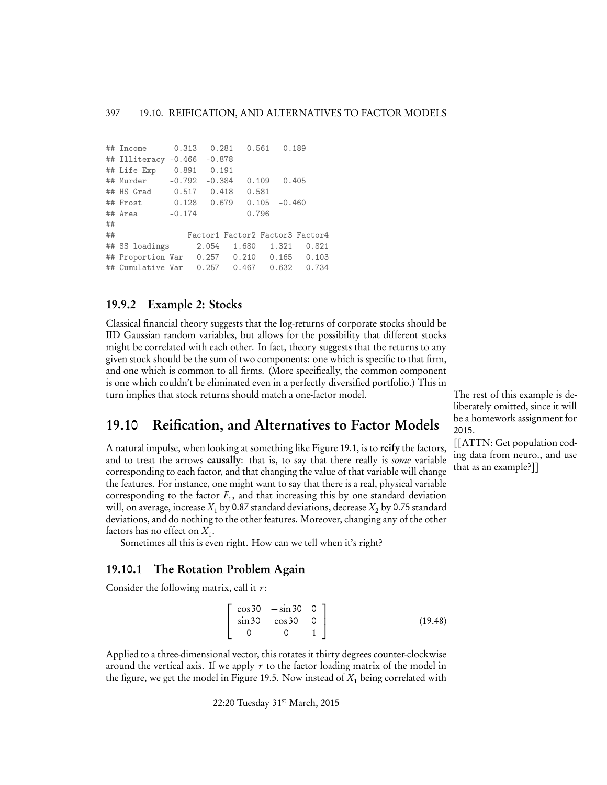```
## Income 0.313 0.281 0.561 0.189
## Illiteracy -0.466 -0.878
## Life Exp 0.891 0.191
## Murder -0.792 -0.384 0.109 0.405
## HS Grad 0.517 0.418 0.581
## Frost 0.128 0.679 0.105 -0.460
## Area -0.174 0.796
##
## Factor1 Factor2 Factor3 Factor4
## SS loadings 2.054 1.680 1.321 0.821
## Proportion Var 0.257 0.210 0.165 0.103
## Cumulative Var 0.257 0.467 0.632 0.734
```
## 19.9.2 Example 2: Stocks

Classical financial theory suggests that the log-returns of corporate stocks should be IID Gaussian random variables, but allows for the possibility that different stocks might be correlated with each other. In fact, theory suggests that the returns to any given stock should be the sum of two components: one which is specific to that firm, and one which is common to all firms. (More specifically, the common component is one which couldn't be eliminated even in a perfectly diversified portfolio.) This in turn implies that stock returns should match a one-factor model. The rest of this example is de-

## 19.10 Reification, and Alternatives to Factor Models

A natural impulse, when looking at something like Figure 19.1, is to reify the factors, and to treat the arrows causally: that is, to say that there really is *some* variable corresponding to each factor, and that changing the value of that variable will change the features. For instance, one might want to say that there is a real, physical variable corresponding to the factor  $F_1$ , and that increasing this by one standard deviation will, on average, increase  $X_1$  by 0.87 standard deviations, decrease  $X_2$  by 0.75 standard deviations, and do nothing to the other features. Moreover, changing any of the other factors has no effect on  $X_1$ .

Sometimes all this is even right. How can we tell when it's right?

## 19.10.1 The Rotation Problem Again

Consider the following matrix, call it *r*:

 $\Gamma$  $\overline{\phantom{a}}$  $\cos 30 - \sin 30 = 0$ sin 30 cos 30 0 0 0 1 3  $\mathbf{1}$  $(19.48)$ 

Applied to a three-dimensional vector, this rotates it thirty degrees counter-clockwise around the vertical axis. If we apply *r* to the factor loading matrix of the model in the figure, we get the model in Figure 19.5. Now instead of  $X_1$  being correlated with

22:20 Tuesday 31<sup>st</sup> March, 2015

liberately omitted, since it will be a homework assignment for 2015.

[[ATTN: Get population coding data from neuro., and use that as an example?]]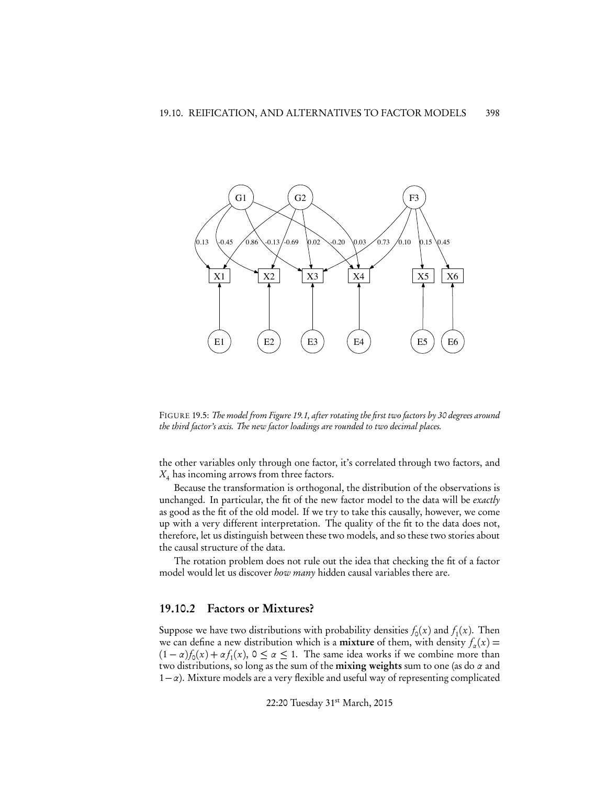

FIGURE 19.5: *The model from Figure 19.1, after rotating the first two factors by 30 degrees around the third factor's axis. The new factor loadings are rounded to two decimal places.*

the other variables only through one factor, it's correlated through two factors, and *X*<sup>4</sup> has incoming arrows from three factors.

Because the transformation is orthogonal, the distribution of the observations is unchanged. In particular, the fit of the new factor model to the data will be *exactly* as good as the fit of the old model. If we try to take this causally, however, we come up with a very different interpretation. The quality of the fit to the data does not, therefore, let us distinguish between these two models, and so these two stories about the causal structure of the data.

The rotation problem does not rule out the idea that checking the fit of a factor model would let us discover *how many* hidden causal variables there are.

#### 19.10.2 Factors or Mixtures?

Suppose we have two distributions with probability densities  $f_0(x)$  and  $f_1(x)$ . Then we can define a new distribution which is a **mixture** of them, with density  $f_a(x) =$  $(1 - \alpha) f_0(x) + \alpha f_1(x)$ ,  $0 \le \alpha \le 1$ . The same idea works if we combine more than two distributions, so long as the sum of the **mixing weights** sum to one (as do  $\alpha$  and  $1-\alpha$ ). Mixture models are a very flexible and useful way of representing complicated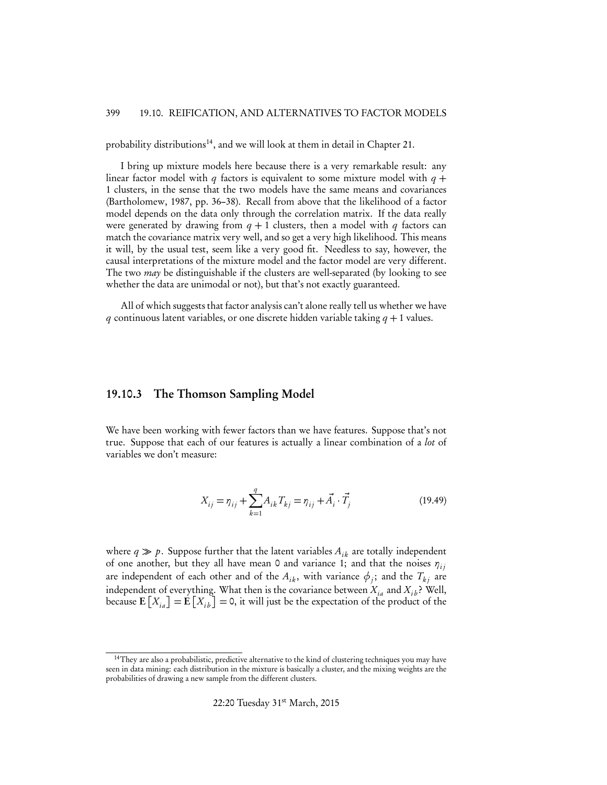probability distributions<sup>14</sup>, and we will look at them in detail in Chapter 21.

I bring up mixture models here because there is a very remarkable result: any linear factor model with *q* factors is equivalent to some mixture model with  $q +$ 1 clusters, in the sense that the two models have the same means and covariances (Bartholomew, 1987, pp. 36–38). Recall from above that the likelihood of a factor model depends on the data only through the correlation matrix. If the data really were generated by drawing from  $q + 1$  clusters, then a model with  $q$  factors can match the covariance matrix very well, and so get a very high likelihood. This means it will, by the usual test, seem like a very good fit. Needless to say, however, the causal interpretations of the mixture model and the factor model are very different. The two *may* be distinguishable if the clusters are well-separated (by looking to see whether the data are unimodal or not), but that's not exactly guaranteed.

All of which suggests that factor analysis can't alone really tell us whether we have *q* continuous latent variables, or one discrete hidden variable taking *q* + 1 values.

#### 19.10.3 The Thomson Sampling Model

We have been working with fewer factors than we have features. Suppose that's not true. Suppose that each of our features is actually a linear combination of a *lot* of variables we don't measure:

$$
X_{ij} = \eta_{ij} + \sum_{k=1}^{q} A_{ik} T_{kj} = \eta_{ij} + \vec{A}_i \cdot \vec{T}_j
$$
 (19.49)

where  $q \gg p$ . Suppose further that the latent variables  $A_{ik}$  are totally independent of one another, but they all have mean 0 and variance 1; and that the noises  $\eta_{ij}$ are independent of each other and of the  $A_{ik}$ , with variance  $\phi_i$ ; and the  $T_{ki}$  are independent of everything. What then is the covariance between  $X_{i}$  and  $X_{i}$  ? Well, because  $\mathbf{E}\left[X_{ia}\right] = \mathbf{E}\left[X_{ib}\right] = 0$ , it will just be the expectation of the product of the

<sup>&</sup>lt;sup>14</sup>They are also a probabilistic, predictive alternative to the kind of clustering techniques you may have seen in data mining: each distribution in the mixture is basically a cluster, and the mixing weights are the probabilities of drawing a new sample from the different clusters.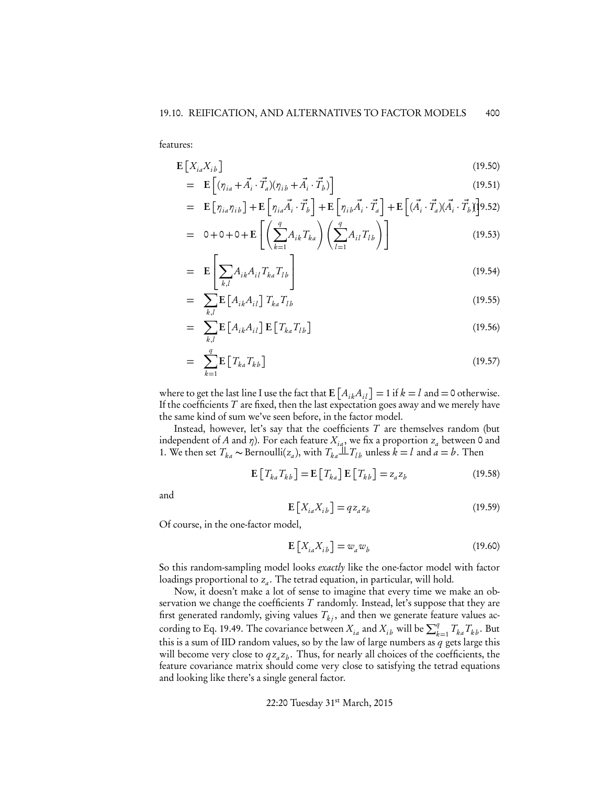features:

$$
\mathbf{E}\left[X_{ia}X_{ib}\right] \tag{19.50}
$$

$$
= \mathbf{E}\left[ (\eta_{ia} + \vec{A}_i \cdot \vec{T}_a)(\eta_{ib} + \vec{A}_i \cdot \vec{T}_b) \right]
$$
(19.51)

$$
= \mathbf{E}\left[\eta_{ia}\eta_{ib}\right] + \mathbf{E}\left[\eta_{ia}\vec{A}_i\cdot\vec{T}_b\right] + \mathbf{E}\left[\eta_{ib}\vec{A}_i\cdot\vec{T}_a\right] + \mathbf{E}\left[(\vec{A}_i\cdot\vec{T}_a)(\vec{A}_i\cdot\vec{T}_b)\right]
$$
\n
$$
\begin{bmatrix} \left(\begin{array}{c} q \end{array}\right) & \left(\begin{array}{c} q \end{array}\right) & \text{if } q \in \mathbb{R} \end{bmatrix}
$$

$$
= 0 + 0 + 0 + \mathbf{E}\left[\left(\sum_{k=1}^{q} A_{ik} T_{ka}\right) \left(\sum_{l=1}^{q} A_{il} T_{lb}\right)\right]
$$
(19.53)

$$
= \mathbf{E} \left[ \sum_{k,l} A_{ik} A_{il} T_{ka} T_{lb} \right]
$$
 (19.54)

$$
= \sum_{k,l} \mathbf{E} \left[ A_{ik} A_{il} \right] T_{ka} T_{lb} \tag{19.55}
$$

$$
= \sum_{k,l} \mathbf{E} \left[ A_{ik} A_{il} \right] \mathbf{E} \left[ T_{ka} T_{lb} \right]
$$
 (19.56)

$$
= \sum_{k=1}^{q} \mathbf{E} \left[ T_{ka} T_{kb} \right] \tag{19.57}
$$

where to get the last line I use the fact that  $\mathbf{E}\left[A_{ik}A_{il}\right] = 1$  if  $k = l$  and  $= 0$  otherwise. If the coefficients *T* are fixed, then the last expectation goes away and we merely have the same kind of sum we've seen before, in the factor model.

Instead, however, let's say that the coefficients *T* are themselves random (but independent of *A* and  $\eta$ ). For each feature  $X_{ia}$ , we fix a proportion  $z_a$  between 0 and 1. We then set  $T_{ka} \sim \text{Bernoulli}(z_a)$ , with  $T_{ka} \perp T_{lb}$  unless  $k = l$  and  $a = b$ . Then

$$
\mathbf{E}\left[T_{ka}T_{kb}\right] = \mathbf{E}\left[T_{ka}\right]\mathbf{E}\left[T_{kb}\right] = z_a z_b \tag{19.58}
$$

and

$$
\mathbf{E}\left[X_{ia}X_{ib}\right] = qz_a z_b \tag{19.59}
$$

Of course, in the one-factor model,

$$
\mathbf{E}\left[X_{ia}X_{ib}\right] = w_a w_b \tag{19.60}
$$

So this random-sampling model looks *exactly* like the one-factor model with factor loadings proportional to  $z_a$ . The tetrad equation, in particular, will hold.

Now, it doesn't make a lot of sense to imagine that every time we make an observation we change the coefficients *T* randomly. Instead, let's suppose that they are first generated randomly, giving values  $T_{kj}$ , and then we generate feature values according to Eq. 19.49. The covariance between  $X_{ia}$  and  $X_{ib}$  will be  $\sum_{k=1}^{q} T_{ka} T_{kb}$ . But this is a sum of IID random values, so by the law of large numbers as *q* gets large this will become very close to  $qz_a z_b$ . Thus, for nearly all choices of the coefficients, the feature covariance matrix should come very close to satisfying the tetrad equations and looking like there's a single general factor.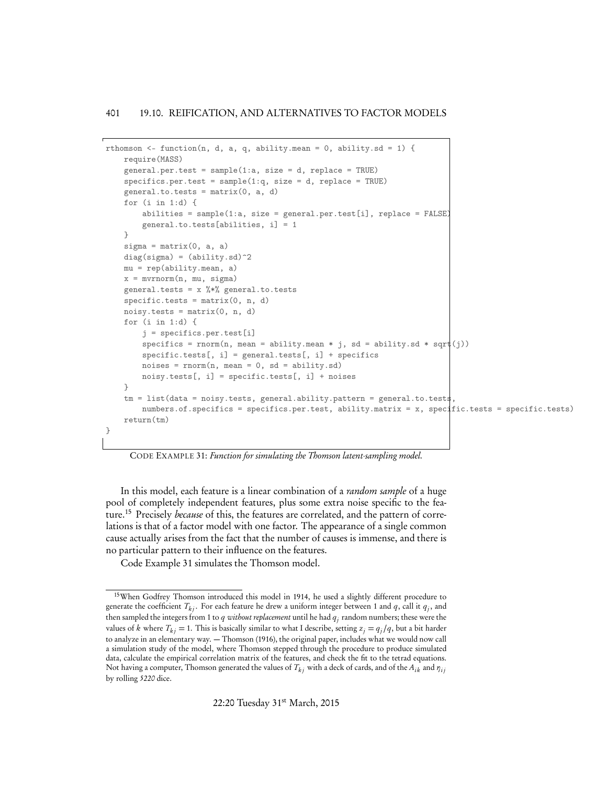```
rthomson \leq function(n, d, a, q, ability.mean = 0, ability.sd = 1) {
   require(MASS)
    general.per.test = sample(1:a, size = d, replace = TRUE)
    spectics.per.test = sample(1:q, size = d, replace = TRUE)general.to.tests = matrix(0, a, d)for (i in 1:d) {
        abilities = sample(1:a, size = general.per.test[i], replace = FALSE)general.to.tests[abilities, i] = 1
    }
    signa = matrix(0, a, a)diag(sigma) = (ability.sd)^2mu = rep(ability.mean, a)
    x = mvrnorm(n, mu, sigma)
    general.tests = x %*% general.to.tests
    specific.tests = matrix(0, n, d)noisy.tests = matrix(0, n, d)for (i in 1:d) {
        j = specifics.per.test[i]
        specifics = rnorm(n, mean = ability mean * j, sd = ability.sd * sqrt(j))specific.tests[, i] = general.tests[, i] + specifiesnoises = rnorm(n, mean = 0, sd = ability.sd)noisy.tests[, i] = specific.tests[, i] + noises
    }
    tm = list(data = noisy.test, general.ability.path = pattern = general.to.testnumbers.of.specifics = specifics.per.test, ability.matrix = x, specific.tests = specific.tests)
    return(tm)
}
```

```
CODE EXAMPLE 31: Function for simulating the Thomson latent-sampling model.
```
In this model, each feature is a linear combination of a *random sample* of a huge pool of completely independent features, plus some extra noise specific to the feature.15 Precisely *because* of this, the features are correlated, and the pattern of correlations is that of a factor model with one factor. The appearance of a single common cause actually arises from the fact that the number of causes is immense, and there is no particular pattern to their influence on the features.

Code Example 31 simulates the Thomson model.

<sup>&</sup>lt;sup>15</sup>When Godfrey Thomson introduced this model in 1914, he used a slightly different procedure to generate the coefficient  $T_{ki}$ . For each feature he drew a uniform integer between 1 and *q*, call it  $q_i$ , and then sampled the integers from 1 to *q without replacement* until he had *qj* random numbers; these were the values of *k* where  $T_{ki} = 1$ . This is basically similar to what I describe, setting  $z_i = q_i/q$ , but a bit harder to analyze in an elementary way. — Thomson (1916), the original paper, includes what we would now call a simulation study of the model, where Thomson stepped through the procedure to produce simulated data, calculate the empirical correlation matrix of the features, and check the fit to the tetrad equations. Not having a computer, Thomson generated the values of  $T_k$  with a deck of cards, and of the  $A_{ik}$  and  $\eta_{ij}$ by rolling *5220* dice.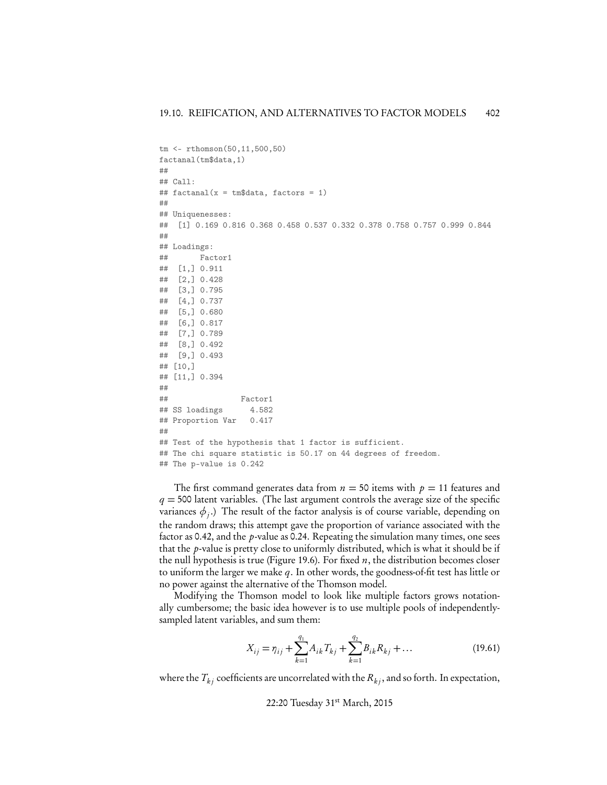```
tm <- rthomson(50,11,500,50)
factanal(tm$data,1)
##
## Call:
## factors = 1)
##
## Uniquenesses:
## [1] 0.169 0.816 0.368 0.458 0.537 0.332 0.378 0.758 0.757 0.999 0.844
##
## Loadings:
## Factor1
## [1,] 0.911
## [2,] 0.428
## [3,] 0.795
## [4,] 0.737
## [5,] 0.680
## [6,] 0.817
## [7,] 0.789
## [8,] 0.492
## [9,] 0.493
## [10,]
## [11,] 0.394
##
## Factor1
## SS loadings 4.582
## Proportion Var 0.417
##
## Test of the hypothesis that 1 factor is sufficient.
## The chi square statistic is 50.17 on 44 degrees of freedom.
## The p-value is 0.242
```
The first command generates data from  $n = 50$  items with  $p = 11$  features and  $q = 500$  latent variables. (The last argument controls the average size of the specific variances  $\phi$ .) The result of the factor analysis is of course variable, depending on the random draws; this attempt gave the proportion of variance associated with the factor as 0.42, and the *p*-value as 0.24. Repeating the simulation many times, one sees that the *p*-value is pretty close to uniformly distributed, which is what it should be if the null hypothesis is true (Figure 19.6). For fixed *n*, the distribution becomes closer to uniform the larger we make *q*. In other words, the goodness-of-fit test has little or no power against the alternative of the Thomson model.

Modifying the Thomson model to look like multiple factors grows notationally cumbersome; the basic idea however is to use multiple pools of independentlysampled latent variables, and sum them:

$$
X_{ij} = \eta_{ij} + \sum_{k=1}^{q_1} A_{ik} T_{kj} + \sum_{k=1}^{q_2} B_{ik} R_{kj} + \dots
$$
 (19.61)

where the  $T_k$  coefficients are uncorrelated with the  $R_k$ , and so forth. In expectation,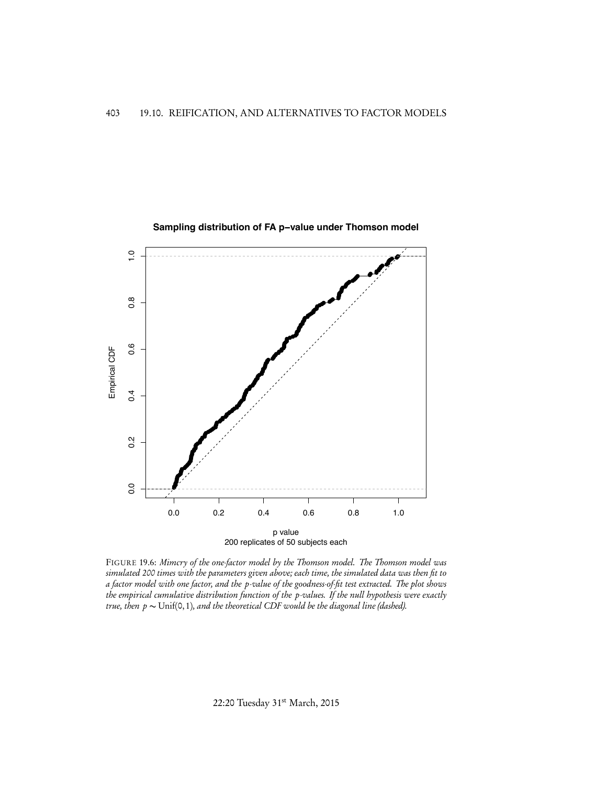

FIGURE 19.6: *Mimcry of the one-factor model by the Thomson model. The Thomson model was simulated 200 times with the parameters given above; each time, the simulated data was then fit to a factor model with one factor, and the p-value of the goodness-of-fit test extracted. The plot shows the empirical cumulative distribution function of the p-values. If the null hypothesis were exactly true, then*  $p \sim \text{Unif}(0, 1)$ *, and the theoretical CDF would be the diagonal line (dashed).* 

22:20 Tuesday 31st March, 2015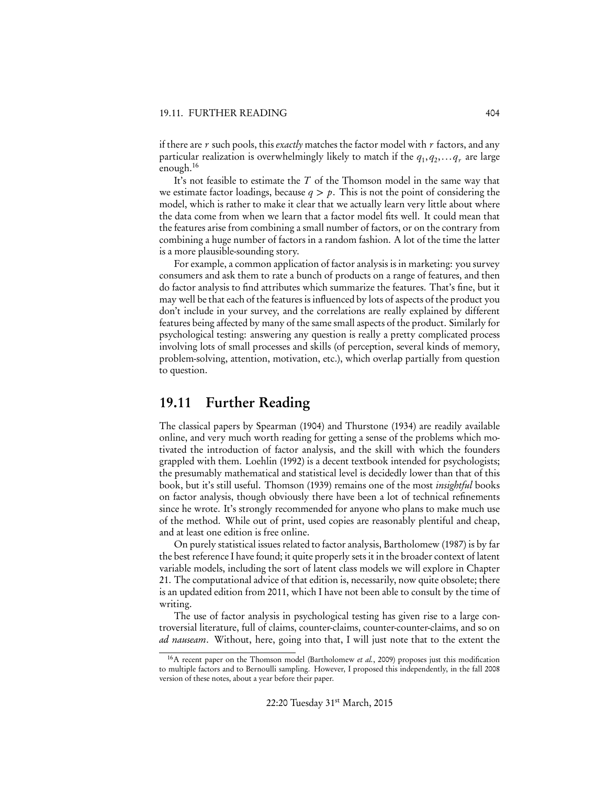if there are *r* such pools, this *exactly* matches the factor model with *r* factors, and any particular realization is overwhelmingly likely to match if the  $q_1, q_2, \ldots q_r$  are large enough.<sup>16</sup>

It's not feasible to estimate the *T* of the Thomson model in the same way that we estimate factor loadings, because  $q > p$ . This is not the point of considering the model, which is rather to make it clear that we actually learn very little about where the data come from when we learn that a factor model fits well. It could mean that the features arise from combining a small number of factors, or on the contrary from combining a huge number of factors in a random fashion. A lot of the time the latter is a more plausible-sounding story.

For example, a common application of factor analysis is in marketing: you survey consumers and ask them to rate a bunch of products on a range of features, and then do factor analysis to find attributes which summarize the features. That's fine, but it may well be that each of the features is influenced by lots of aspects of the product you don't include in your survey, and the correlations are really explained by different features being affected by many of the same small aspects of the product. Similarly for psychological testing: answering any question is really a pretty complicated process involving lots of small processes and skills (of perception, several kinds of memory, problem-solving, attention, motivation, etc.), which overlap partially from question to question.

## 19.11 Further Reading

The classical papers by Spearman (1904) and Thurstone (1934) are readily available online, and very much worth reading for getting a sense of the problems which motivated the introduction of factor analysis, and the skill with which the founders grappled with them. Loehlin (1992) is a decent textbook intended for psychologists; the presumably mathematical and statistical level is decidedly lower than that of this book, but it's still useful. Thomson (1939) remains one of the most *insightful* books on factor analysis, though obviously there have been a lot of technical refinements since he wrote. It's strongly recommended for anyone who plans to make much use of the method. While out of print, used copies are reasonably plentiful and cheap, and at least one edition is free online.

On purely statistical issues related to factor analysis, Bartholomew (1987) is by far the best reference I have found; it quite properly sets it in the broader context of latent variable models, including the sort of latent class models we will explore in Chapter 21. The computational advice of that edition is, necessarily, now quite obsolete; there is an updated edition from 2011, which I have not been able to consult by the time of writing.

The use of factor analysis in psychological testing has given rise to a large controversial literature, full of claims, counter-claims, counter-counter-claims, and so on *ad nauseam*. Without, here, going into that, I will just note that to the extent the

<sup>16</sup>A recent paper on the Thomson model (Bartholomew *et al.*, 2009) proposes just this modification to multiple factors and to Bernoulli sampling. However, I proposed this independently, in the fall 2008 version of these notes, about a year before their paper.